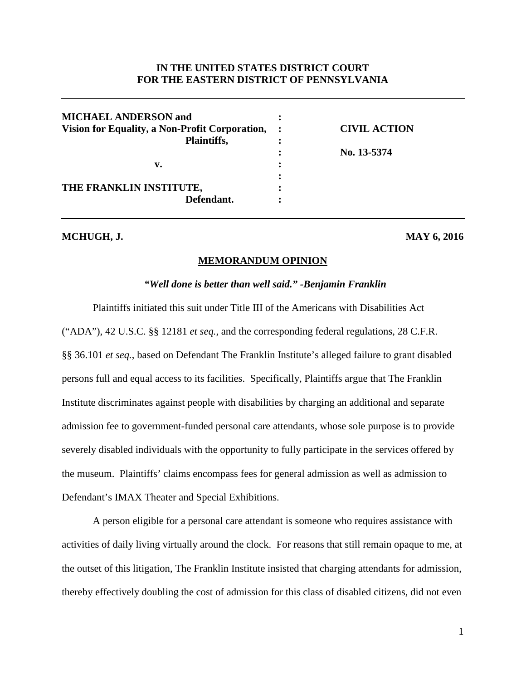# **IN THE UNITED STATES DISTRICT COURT FOR THE EASTERN DISTRICT OF PENNSYLVANIA**

| <b>MICHAEL ANDERSON and</b>                    |                     |
|------------------------------------------------|---------------------|
| Vision for Equality, a Non-Profit Corporation, | <b>CIVIL ACTION</b> |
| Plaintiffs,                                    |                     |
|                                                | No. 13-5374         |
| v.                                             |                     |
|                                                |                     |
| THE FRANKLIN INSTITUTE,                        |                     |
| Defendant.                                     |                     |
|                                                |                     |

# **MCHUGH, J. MAY 6, 2016**

#### **MEMORANDUM OPINION**

#### *"Well done is better than well said." -Benjamin Franklin*

 Plaintiffs initiated this suit under Title III of the Americans with Disabilities Act ("ADA"), 42 U.S.C. §§ 12181 *et seq.*, and the corresponding federal regulations, 28 C.F.R. §§ 36.101 *et seq.*, based on Defendant The Franklin Institute's alleged failure to grant disabled persons full and equal access to its facilities. Specifically, Plaintiffs argue that The Franklin Institute discriminates against people with disabilities by charging an additional and separate admission fee to government-funded personal care attendants, whose sole purpose is to provide severely disabled individuals with the opportunity to fully participate in the services offered by the museum. Plaintiffs' claims encompass fees for general admission as well as admission to Defendant's IMAX Theater and Special Exhibitions.

A person eligible for a personal care attendant is someone who requires assistance with activities of daily living virtually around the clock. For reasons that still remain opaque to me, at the outset of this litigation, The Franklin Institute insisted that charging attendants for admission, thereby effectively doubling the cost of admission for this class of disabled citizens, did not even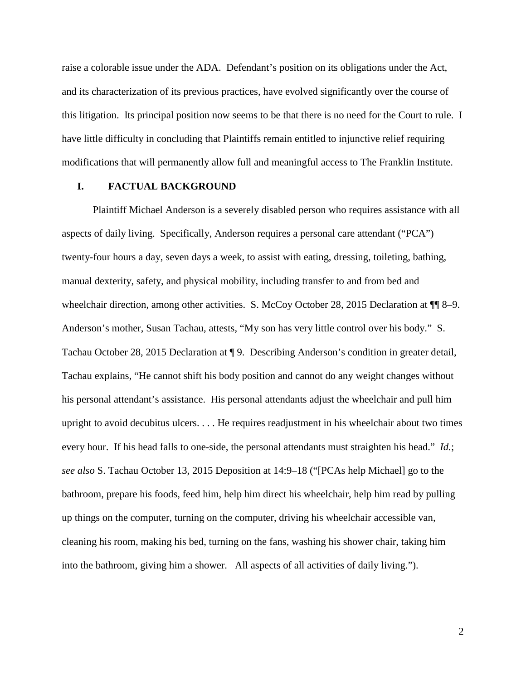raise a colorable issue under the ADA. Defendant's position on its obligations under the Act, and its characterization of its previous practices, have evolved significantly over the course of this litigation. Its principal position now seems to be that there is no need for the Court to rule. I have little difficulty in concluding that Plaintiffs remain entitled to injunctive relief requiring modifications that will permanently allow full and meaningful access to The Franklin Institute.

#### **I. FACTUAL BACKGROUND**

Plaintiff Michael Anderson is a severely disabled person who requires assistance with all aspects of daily living. Specifically, Anderson requires a personal care attendant ("PCA") twenty-four hours a day, seven days a week, to assist with eating, dressing, toileting, bathing, manual dexterity, safety, and physical mobility, including transfer to and from bed and wheelchair direction, among other activities. S. McCoy October 28, 2015 Declaration at  $\P$  8–9. Anderson's mother, Susan Tachau, attests, "My son has very little control over his body." S. Tachau October 28, 2015 Declaration at ¶ 9. Describing Anderson's condition in greater detail, Tachau explains, "He cannot shift his body position and cannot do any weight changes without his personal attendant's assistance. His personal attendants adjust the wheelchair and pull him upright to avoid decubitus ulcers. . . . He requires readjustment in his wheelchair about two times every hour. If his head falls to one-side, the personal attendants must straighten his head." *Id.*; *see also* S. Tachau October 13, 2015 Deposition at 14:9–18 ("[PCAs help Michael] go to the bathroom, prepare his foods, feed him, help him direct his wheelchair, help him read by pulling up things on the computer, turning on the computer, driving his wheelchair accessible van, cleaning his room, making his bed, turning on the fans, washing his shower chair, taking him into the bathroom, giving him a shower. All aspects of all activities of daily living.").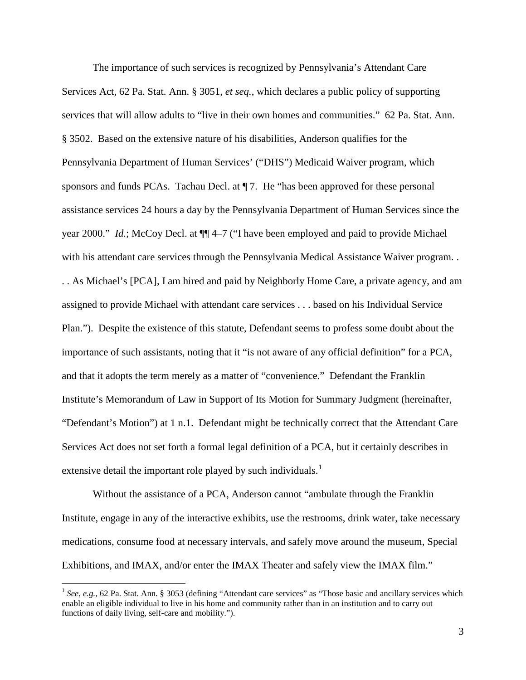The importance of such services is recognized by Pennsylvania's Attendant Care Services Act, 62 Pa. Stat. Ann. § 3051, *et seq.*, which declares a public policy of supporting services that will allow adults to "live in their own homes and communities." 62 Pa. Stat. Ann. § 3502. Based on the extensive nature of his disabilities, Anderson qualifies for the Pennsylvania Department of Human Services' ("DHS") Medicaid Waiver program, which sponsors and funds PCAs. Tachau Decl. at ¶ 7. He "has been approved for these personal assistance services 24 hours a day by the Pennsylvania Department of Human Services since the year 2000." *Id.*; McCoy Decl. at ¶¶ 4–7 ("I have been employed and paid to provide Michael with his attendant care services through the Pennsylvania Medical Assistance Waiver program. . . As Michael's [PCA], I am hired and paid by Neighborly Home Care, a private agency, and am assigned to provide Michael with attendant care services . . . based on his Individual Service Plan."). Despite the existence of this statute, Defendant seems to profess some doubt about the importance of such assistants, noting that it "is not aware of any official definition" for a PCA, and that it adopts the term merely as a matter of "convenience." Defendant the Franklin Institute's Memorandum of Law in Support of Its Motion for Summary Judgment (hereinafter, "Defendant's Motion") at 1 n.1. Defendant might be technically correct that the Attendant Care Services Act does not set forth a formal legal definition of a PCA, but it certainly describes in extensive detail the important role played by such individuals.<sup>[1](#page-2-0)</sup>

Without the assistance of a PCA, Anderson cannot "ambulate through the Franklin Institute, engage in any of the interactive exhibits, use the restrooms, drink water, take necessary medications, consume food at necessary intervals, and safely move around the museum, Special Exhibitions, and IMAX, and/or enter the IMAX Theater and safely view the IMAX film."

<span id="page-2-0"></span><sup>&</sup>lt;sup>1</sup> See, e.g., 62 Pa. Stat. Ann. § 3053 (defining "Attendant care services" as "Those basic and ancillary services which enable an eligible individual to live in his home and community rather than in an institution and to carry out functions of daily living, self-care and mobility.").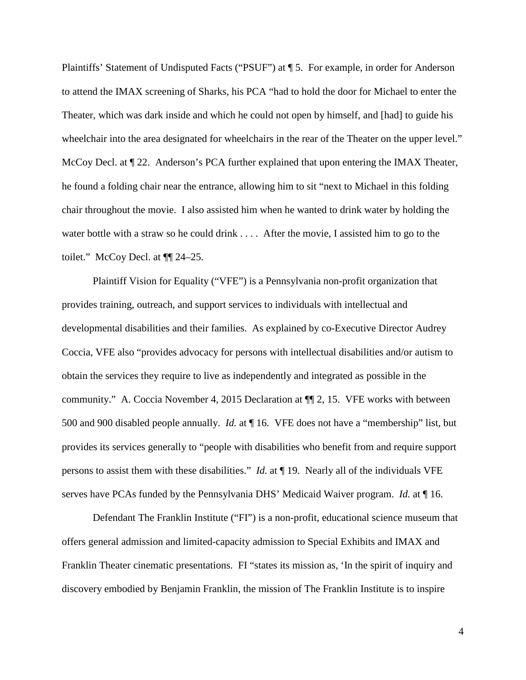Plaintiffs' Statement of Undisputed Facts ("PSUF") at ¶ 5. For example, in order for Anderson to attend the IMAX screening of Sharks, his PCA "had to hold the door for Michael to enter the Theater, which was dark inside and which he could not open by himself, and [had] to guide his wheelchair into the area designated for wheelchairs in the rear of the Theater on the upper level." McCoy Decl. at  $\P$  22. Anderson's PCA further explained that upon entering the IMAX Theater, he found a folding chair near the entrance, allowing him to sit "next to Michael in this folding chair throughout the movie. I also assisted him when he wanted to drink water by holding the water bottle with a straw so he could drink . . . . After the movie, I assisted him to go to the toilet." McCoy Decl. at ¶¶ 24–25.

Plaintiff Vision for Equality ("VFE") is a Pennsylvania non-profit organization that provides training, outreach, and support services to individuals with intellectual and developmental disabilities and their families. As explained by co-Executive Director Audrey Coccia, VFE also "provides advocacy for persons with intellectual disabilities and/or autism to obtain the services they require to live as independently and integrated as possible in the community." A. Coccia November 4, 2015 Declaration at ¶¶ 2, 15. VFE works with between 500 and 900 disabled people annually. *Id.* at ¶ 16. VFE does not have a "membership" list, but provides its services generally to "people with disabilities who benefit from and require support persons to assist them with these disabilities." *Id.* at ¶ 19. Nearly all of the individuals VFE serves have PCAs funded by the Pennsylvania DHS' Medicaid Waiver program. *Id.* at ¶ 16.

Defendant The Franklin Institute ("FI") is a non-profit, educational science museum that offers general admission and limited-capacity admission to Special Exhibits and IMAX and Franklin Theater cinematic presentations. FI "states its mission as, 'In the spirit of inquiry and discovery embodied by Benjamin Franklin, the mission of The Franklin Institute is to inspire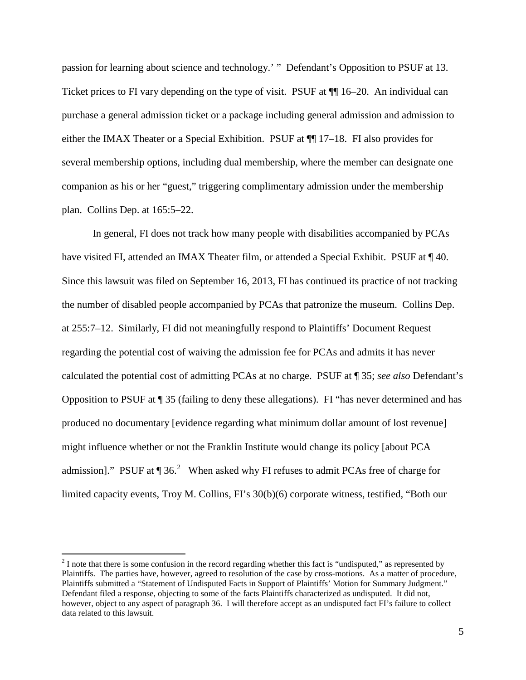passion for learning about science and technology.' " Defendant's Opposition to PSUF at 13. Ticket prices to FI vary depending on the type of visit. PSUF at  $\P$  16–20. An individual can purchase a general admission ticket or a package including general admission and admission to either the IMAX Theater or a Special Exhibition. PSUF at  $\P$  17–18. FI also provides for several membership options, including dual membership, where the member can designate one companion as his or her "guest," triggering complimentary admission under the membership plan. Collins Dep. at 165:5–22.

In general, FI does not track how many people with disabilities accompanied by PCAs have visited FI, attended an IMAX Theater film, or attended a Special Exhibit. PSUF at  $\P$  40. Since this lawsuit was filed on September 16, 2013, FI has continued its practice of not tracking the number of disabled people accompanied by PCAs that patronize the museum. Collins Dep. at 255:7–12. Similarly, FI did not meaningfully respond to Plaintiffs' Document Request regarding the potential cost of waiving the admission fee for PCAs and admits it has never calculated the potential cost of admitting PCAs at no charge. PSUF at ¶ 35; *see also* Defendant's Opposition to PSUF at ¶ 35 (failing to deny these allegations). FI "has never determined and has produced no documentary [evidence regarding what minimum dollar amount of lost revenue] might influence whether or not the Franklin Institute would change its policy [about PCA admission]." PSUF at  $\P$  36.<sup>[2](#page-4-0)</sup> When asked why FI refuses to admit PCAs free of charge for limited capacity events, Troy M. Collins, FI's 30(b)(6) corporate witness, testified, "Both our

<span id="page-4-0"></span> $2$  I note that there is some confusion in the record regarding whether this fact is "undisputed," as represented by Plaintiffs. The parties have, however, agreed to resolution of the case by cross-motions. As a matter of procedure, Plaintiffs submitted a "Statement of Undisputed Facts in Support of Plaintiffs' Motion for Summary Judgment." Defendant filed a response, objecting to some of the facts Plaintiffs characterized as undisputed. It did not, however, object to any aspect of paragraph 36. I will therefore accept as an undisputed fact FI's failure to collect data related to this lawsuit.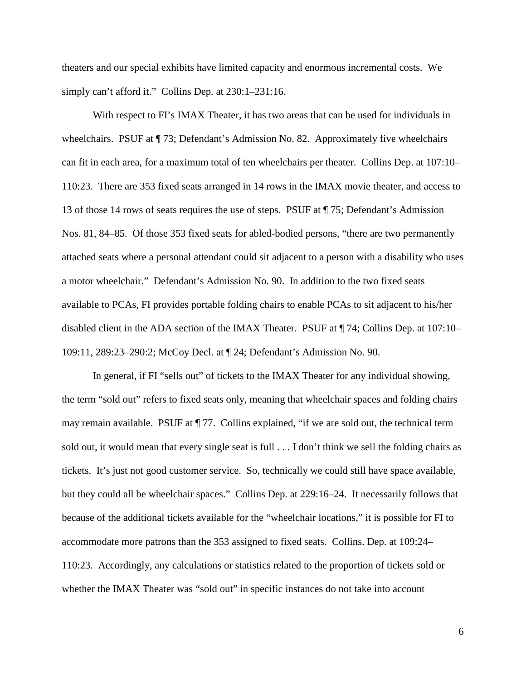theaters and our special exhibits have limited capacity and enormous incremental costs. We simply can't afford it." Collins Dep. at 230:1-231:16.

With respect to FI's IMAX Theater, it has two areas that can be used for individuals in wheelchairs. PSUF at  $\P$  73; Defendant's Admission No. 82. Approximately five wheelchairs can fit in each area, for a maximum total of ten wheelchairs per theater. Collins Dep. at 107:10– 110:23. There are 353 fixed seats arranged in 14 rows in the IMAX movie theater, and access to 13 of those 14 rows of seats requires the use of steps. PSUF at ¶ 75; Defendant's Admission Nos. 81, 84–85. Of those 353 fixed seats for abled-bodied persons, "there are two permanently attached seats where a personal attendant could sit adjacent to a person with a disability who uses a motor wheelchair." Defendant's Admission No. 90. In addition to the two fixed seats available to PCAs, FI provides portable folding chairs to enable PCAs to sit adjacent to his/her disabled client in the ADA section of the IMAX Theater. PSUF at ¶ 74; Collins Dep. at 107:10– 109:11, 289:23–290:2; McCoy Decl. at ¶ 24; Defendant's Admission No. 90.

In general, if FI "sells out" of tickets to the IMAX Theater for any individual showing, the term "sold out" refers to fixed seats only, meaning that wheelchair spaces and folding chairs may remain available. PSUF at ¶ 77. Collins explained, "if we are sold out, the technical term sold out, it would mean that every single seat is full . . . I don't think we sell the folding chairs as tickets. It's just not good customer service. So, technically we could still have space available, but they could all be wheelchair spaces." Collins Dep. at 229:16–24. It necessarily follows that because of the additional tickets available for the "wheelchair locations," it is possible for FI to accommodate more patrons than the 353 assigned to fixed seats. Collins. Dep. at 109:24– 110:23. Accordingly, any calculations or statistics related to the proportion of tickets sold or whether the IMAX Theater was "sold out" in specific instances do not take into account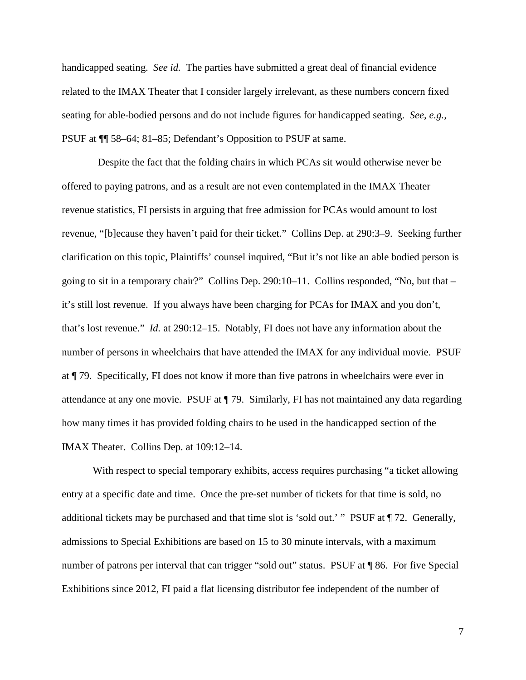handicapped seating. *See id.* The parties have submitted a great deal of financial evidence related to the IMAX Theater that I consider largely irrelevant, as these numbers concern fixed seating for able-bodied persons and do not include figures for handicapped seating. *See, e.g.,*  PSUF at ¶¶ 58–64; 81–85; Defendant's Opposition to PSUF at same.

 Despite the fact that the folding chairs in which PCAs sit would otherwise never be offered to paying patrons, and as a result are not even contemplated in the IMAX Theater revenue statistics, FI persists in arguing that free admission for PCAs would amount to lost revenue, "[b]ecause they haven't paid for their ticket." Collins Dep. at 290:3–9. Seeking further clarification on this topic, Plaintiffs' counsel inquired, "But it's not like an able bodied person is going to sit in a temporary chair?" Collins Dep. 290:10–11. Collins responded, "No, but that – it's still lost revenue. If you always have been charging for PCAs for IMAX and you don't, that's lost revenue." *Id.* at 290:12–15. Notably, FI does not have any information about the number of persons in wheelchairs that have attended the IMAX for any individual movie. PSUF at ¶ 79. Specifically, FI does not know if more than five patrons in wheelchairs were ever in attendance at any one movie. PSUF at ¶ 79. Similarly, FI has not maintained any data regarding how many times it has provided folding chairs to be used in the handicapped section of the IMAX Theater. Collins Dep. at 109:12–14.

With respect to special temporary exhibits, access requires purchasing "a ticket allowing entry at a specific date and time. Once the pre-set number of tickets for that time is sold, no additional tickets may be purchased and that time slot is 'sold out.' " PSUF at ¶ 72. Generally, admissions to Special Exhibitions are based on 15 to 30 minute intervals, with a maximum number of patrons per interval that can trigger "sold out" status. PSUF at ¶ 86. For five Special Exhibitions since 2012, FI paid a flat licensing distributor fee independent of the number of

7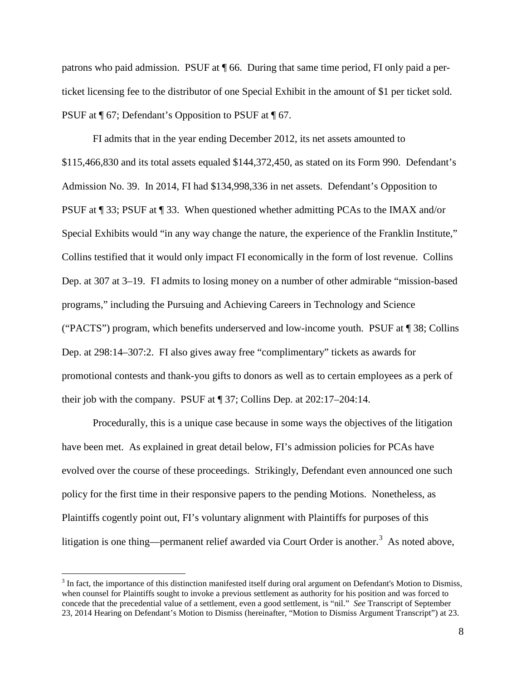patrons who paid admission. PSUF at ¶ 66. During that same time period, FI only paid a perticket licensing fee to the distributor of one Special Exhibit in the amount of \$1 per ticket sold. PSUF at ¶ 67; Defendant's Opposition to PSUF at ¶ 67.

FI admits that in the year ending December 2012, its net assets amounted to \$115,466,830 and its total assets equaled \$144,372,450, as stated on its Form 990. Defendant's Admission No. 39. In 2014, FI had \$134,998,336 in net assets. Defendant's Opposition to PSUF at ¶ 33; PSUF at ¶ 33. When questioned whether admitting PCAs to the IMAX and/or Special Exhibits would "in any way change the nature, the experience of the Franklin Institute," Collins testified that it would only impact FI economically in the form of lost revenue. Collins Dep. at 307 at 3–19. FI admits to losing money on a number of other admirable "mission-based programs," including the Pursuing and Achieving Careers in Technology and Science ("PACTS") program, which benefits underserved and low-income youth. PSUF at ¶ 38; Collins Dep. at 298:14–307:2. FI also gives away free "complimentary" tickets as awards for promotional contests and thank-you gifts to donors as well as to certain employees as a perk of their job with the company. PSUF at ¶ 37; Collins Dep. at 202:17–204:14.

Procedurally, this is a unique case because in some ways the objectives of the litigation have been met. As explained in great detail below, FI's admission policies for PCAs have evolved over the course of these proceedings. Strikingly, Defendant even announced one such policy for the first time in their responsive papers to the pending Motions. Nonetheless, as Plaintiffs cogently point out, FI's voluntary alignment with Plaintiffs for purposes of this litigation is one thing—permanent relief awarded via Court Order is another.<sup>[3](#page-7-0)</sup> As noted above,

<span id="page-7-0"></span><sup>&</sup>lt;sup>3</sup> In fact, the importance of this distinction manifested itself during oral argument on Defendant's Motion to Dismiss, when counsel for Plaintiffs sought to invoke a previous settlement as authority for his position and was forced to concede that the precedential value of a settlement, even a good settlement, is "nil." *See* Transcript of September 23, 2014 Hearing on Defendant's Motion to Dismiss (hereinafter, "Motion to Dismiss Argument Transcript") at 23.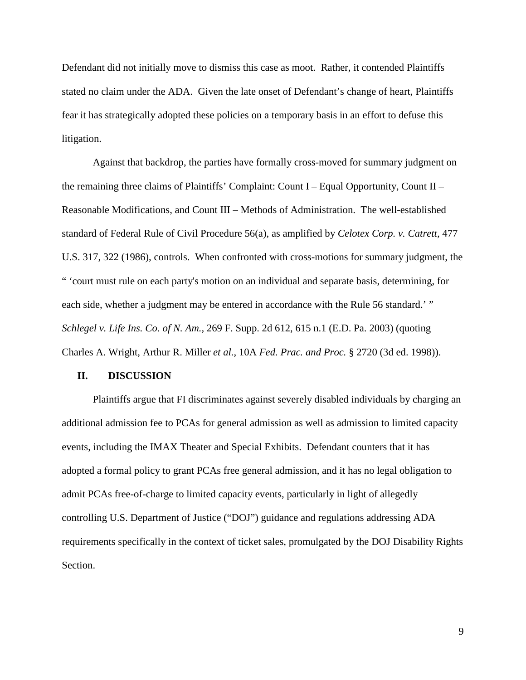Defendant did not initially move to dismiss this case as moot. Rather, it contended Plaintiffs stated no claim under the ADA. Given the late onset of Defendant's change of heart, Plaintiffs fear it has strategically adopted these policies on a temporary basis in an effort to defuse this litigation.

Against that backdrop, the parties have formally cross-moved for summary judgment on the remaining three claims of Plaintiffs' Complaint: Count I – Equal Opportunity, Count II – Reasonable Modifications, and Count III – Methods of Administration. The well-established standard of Federal Rule of Civil Procedure 56(a), as amplified by *Celotex Corp. v. Catrett,* 477 U.S. 317, 322 (1986), controls. When confronted with cross-motions for summary judgment, the " 'court must rule on each party's motion on an individual and separate basis, determining, for each side, whether a judgment may be entered in accordance with the Rule 56 standard.' " *Schlegel v. Life Ins. Co. of N. Am.,* 269 F. Supp. 2d 612, 615 n.1 (E.D. Pa. 2003) (quoting Charles A. Wright, Arthur R. Miller *et al.*, 10A *Fed. Prac. and Proc.* § 2720 (3d ed. 1998)).

# **II. DISCUSSION**

Plaintiffs argue that FI discriminates against severely disabled individuals by charging an additional admission fee to PCAs for general admission as well as admission to limited capacity events, including the IMAX Theater and Special Exhibits. Defendant counters that it has adopted a formal policy to grant PCAs free general admission, and it has no legal obligation to admit PCAs free-of-charge to limited capacity events, particularly in light of allegedly controlling U.S. Department of Justice ("DOJ") guidance and regulations addressing ADA requirements specifically in the context of ticket sales, promulgated by the DOJ Disability Rights Section.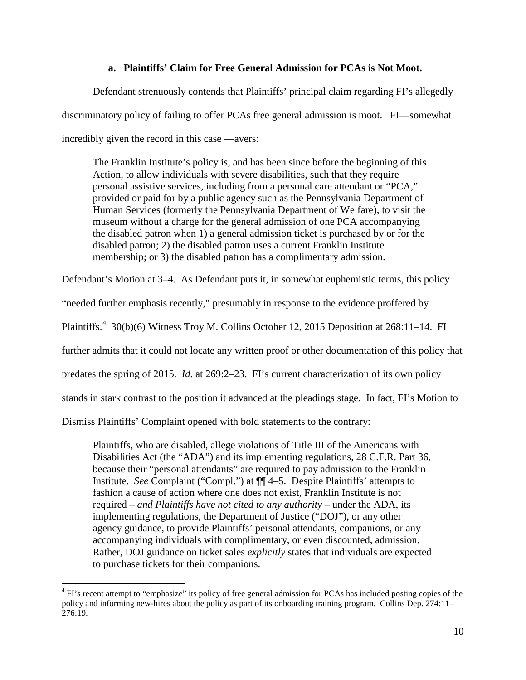# **a. Plaintiffs' Claim for Free General Admission for PCAs is Not Moot.**

Defendant strenuously contends that Plaintiffs' principal claim regarding FI's allegedly discriminatory policy of failing to offer PCAs free general admission is moot. FI—somewhat incredibly given the record in this case —avers:

The Franklin Institute's policy is, and has been since before the beginning of this Action, to allow individuals with severe disabilities, such that they require personal assistive services, including from a personal care attendant or "PCA," provided or paid for by a public agency such as the Pennsylvania Department of Human Services (formerly the Pennsylvania Department of Welfare), to visit the museum without a charge for the general admission of one PCA accompanying the disabled patron when 1) a general admission ticket is purchased by or for the disabled patron; 2) the disabled patron uses a current Franklin Institute membership; or 3) the disabled patron has a complimentary admission.

Defendant's Motion at 3–4. As Defendant puts it, in somewhat euphemistic terms, this policy

"needed further emphasis recently," presumably in response to the evidence proffered by

Plaintiffs.<sup>[4](#page-9-0)</sup> 30(b)(6) Witness Troy M. Collins October 12, 2015 Deposition at 268:11–14. FI

further admits that it could not locate any written proof or other documentation of this policy that

predates the spring of 2015. *Id.* at 269:2–23. FI's current characterization of its own policy

stands in stark contrast to the position it advanced at the pleadings stage. In fact, FI's Motion to

Dismiss Plaintiffs' Complaint opened with bold statements to the contrary:

Plaintiffs, who are disabled, allege violations of Title III of the Americans with Disabilities Act (the "ADA") and its implementing regulations, 28 C.F.R. Part 36, because their "personal attendants" are required to pay admission to the Franklin Institute. *See* Complaint ("Compl.") at ¶¶ 4–5. Despite Plaintiffs' attempts to fashion a cause of action where one does not exist, Franklin Institute is not required – *and Plaintiffs have not cited to any authority* – under the ADA, its implementing regulations, the Department of Justice ("DOJ"), or any other agency guidance, to provide Plaintiffs' personal attendants, companions, or any accompanying individuals with complimentary, or even discounted, admission. Rather, DOJ guidance on ticket sales *explicitly* states that individuals are expected to purchase tickets for their companions.

<span id="page-9-0"></span><sup>&</sup>lt;sup>4</sup> FI's recent attempt to "emphasize" its policy of free general admission for PCAs has included posting copies of the policy and informing new-hires about the policy as part of its onboarding training program. Collins Dep. 274:11– 276:19.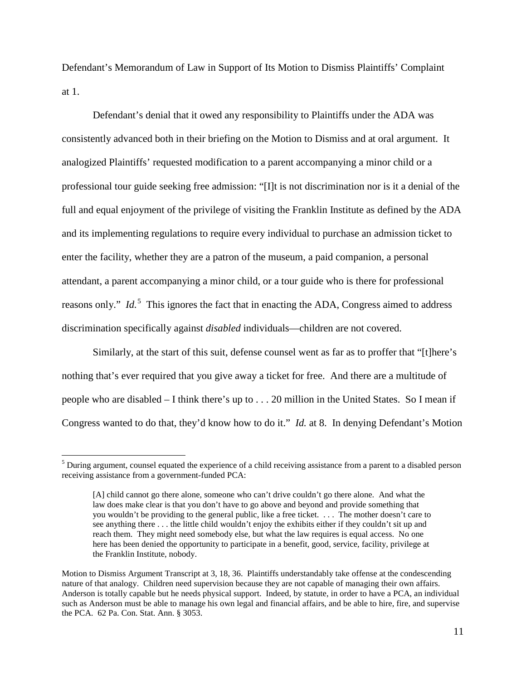Defendant's Memorandum of Law in Support of Its Motion to Dismiss Plaintiffs' Complaint at 1.

Defendant's denial that it owed any responsibility to Plaintiffs under the ADA was consistently advanced both in their briefing on the Motion to Dismiss and at oral argument. It analogized Plaintiffs' requested modification to a parent accompanying a minor child or a professional tour guide seeking free admission: "[I]t is not discrimination nor is it a denial of the full and equal enjoyment of the privilege of visiting the Franklin Institute as defined by the ADA and its implementing regulations to require every individual to purchase an admission ticket to enter the facility, whether they are a patron of the museum, a paid companion, a personal attendant, a parent accompanying a minor child, or a tour guide who is there for professional reasons only." *Id.*<sup>[5](#page-10-0)</sup> This ignores the fact that in enacting the ADA, Congress aimed to address discrimination specifically against *disabled* individuals—children are not covered.

Similarly, at the start of this suit, defense counsel went as far as to proffer that "[t]here's nothing that's ever required that you give away a ticket for free. And there are a multitude of people who are disabled – I think there's up to . . . 20 million in the United States. So I mean if Congress wanted to do that, they'd know how to do it." *Id.* at 8. In denying Defendant's Motion

<span id="page-10-0"></span><sup>&</sup>lt;sup>5</sup> During argument, counsel equated the experience of a child receiving assistance from a parent to a disabled person receiving assistance from a government-funded PCA:

<sup>[</sup>A] child cannot go there alone, someone who can't drive couldn't go there alone. And what the law does make clear is that you don't have to go above and beyond and provide something that you wouldn't be providing to the general public, like a free ticket. . . . The mother doesn't care to see anything there . . . the little child wouldn't enjoy the exhibits either if they couldn't sit up and reach them. They might need somebody else, but what the law requires is equal access. No one here has been denied the opportunity to participate in a benefit, good, service, facility, privilege at the Franklin Institute, nobody.

Motion to Dismiss Argument Transcript at 3, 18, 36.Plaintiffs understandably take offense at the condescending nature of that analogy. Children need supervision because they are not capable of managing their own affairs. Anderson is totally capable but he needs physical support. Indeed, by statute, in order to have a PCA, an individual such as Anderson must be able to manage his own legal and financial affairs, and be able to hire, fire, and supervise the PCA. 62 Pa. Con. Stat. Ann. § 3053.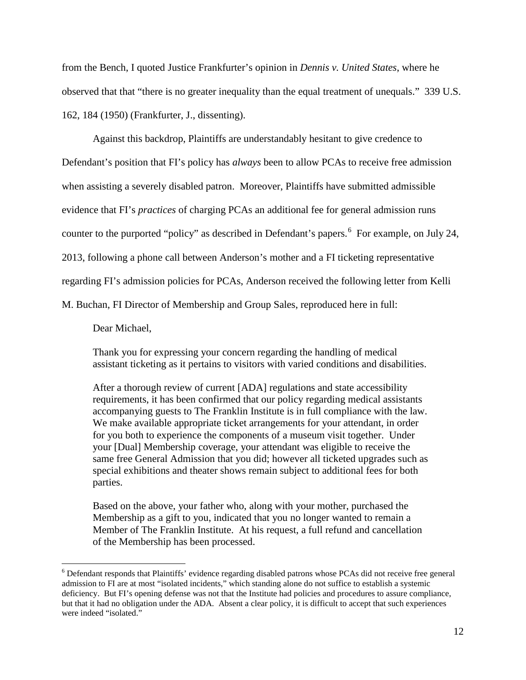from the Bench, I quoted Justice Frankfurter's opinion in *Dennis v. United States*, where he observed that that "there is no greater inequality than the equal treatment of unequals." 339 U.S. 162, 184 (1950) (Frankfurter, J., dissenting).

Against this backdrop, Plaintiffs are understandably hesitant to give credence to Defendant's position that FI's policy has *always* been to allow PCAs to receive free admission when assisting a severely disabled patron. Moreover, Plaintiffs have submitted admissible evidence that FI's *practices* of charging PCAs an additional fee for general admission runs counter to the purported "policy" as described in Defendant's papers. <sup>[6](#page-11-0)</sup> For example, on July 24, 2013, following a phone call between Anderson's mother and a FI ticketing representative regarding FI's admission policies for PCAs, Anderson received the following letter from Kelli M. Buchan, FI Director of Membership and Group Sales, reproduced here in full:

Dear Michael,

Thank you for expressing your concern regarding the handling of medical assistant ticketing as it pertains to visitors with varied conditions and disabilities.

After a thorough review of current [ADA] regulations and state accessibility requirements, it has been confirmed that our policy regarding medical assistants accompanying guests to The Franklin Institute is in full compliance with the law. We make available appropriate ticket arrangements for your attendant, in order for you both to experience the components of a museum visit together. Under your [Dual] Membership coverage, your attendant was eligible to receive the same free General Admission that you did; however all ticketed upgrades such as special exhibitions and theater shows remain subject to additional fees for both parties.

Based on the above, your father who, along with your mother, purchased the Membership as a gift to you, indicated that you no longer wanted to remain a Member of The Franklin Institute. At his request, a full refund and cancellation of the Membership has been processed.

<span id="page-11-0"></span><sup>&</sup>lt;sup>6</sup> Defendant responds that Plaintiffs' evidence regarding disabled patrons whose PCAs did not receive free general admission to FI are at most "isolated incidents," which standing alone do not suffice to establish a systemic deficiency. But FI's opening defense was not that the Institute had policies and procedures to assure compliance, but that it had no obligation under the ADA. Absent a clear policy, it is difficult to accept that such experiences were indeed "isolated."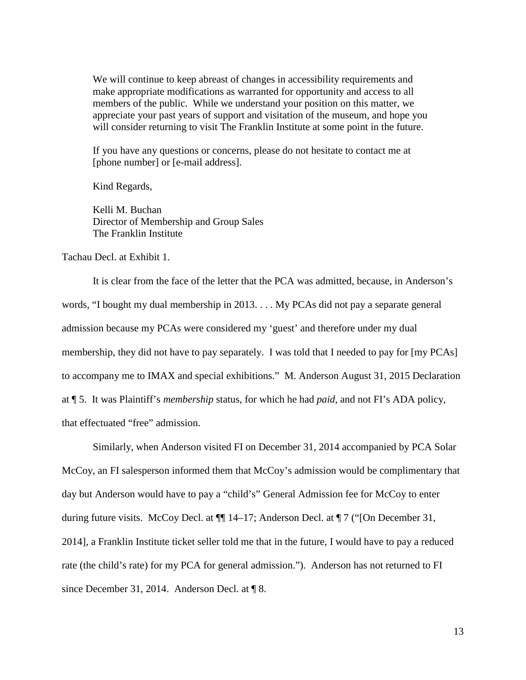We will continue to keep abreast of changes in accessibility requirements and make appropriate modifications as warranted for opportunity and access to all members of the public. While we understand your position on this matter, we appreciate your past years of support and visitation of the museum, and hope you will consider returning to visit The Franklin Institute at some point in the future.

If you have any questions or concerns, please do not hesitate to contact me at [phone number] or [e-mail address].

Kind Regards,

Kelli M. Buchan Director of Membership and Group Sales The Franklin Institute

Tachau Decl. at Exhibit 1.

It is clear from the face of the letter that the PCA was admitted, because, in Anderson's words, "I bought my dual membership in 2013. . . . My PCAs did not pay a separate general admission because my PCAs were considered my 'guest' and therefore under my dual membership, they did not have to pay separately. I was told that I needed to pay for [my PCAs] to accompany me to IMAX and special exhibitions." M. Anderson August 31, 2015 Declaration at ¶ 5. It was Plaintiff's *membership* status, for which he had *paid*, and not FI's ADA policy, that effectuated "free" admission.

Similarly, when Anderson visited FI on December 31, 2014 accompanied by PCA Solar McCoy, an FI salesperson informed them that McCoy's admission would be complimentary that day but Anderson would have to pay a "child's" General Admission fee for McCoy to enter during future visits. McCoy Decl. at ¶¶ 14–17; Anderson Decl. at ¶ 7 ("[On December 31, 2014], a Franklin Institute ticket seller told me that in the future, I would have to pay a reduced rate (the child's rate) for my PCA for general admission."). Anderson has not returned to FI since December 31, 2014. Anderson Decl. at  $\P$  8.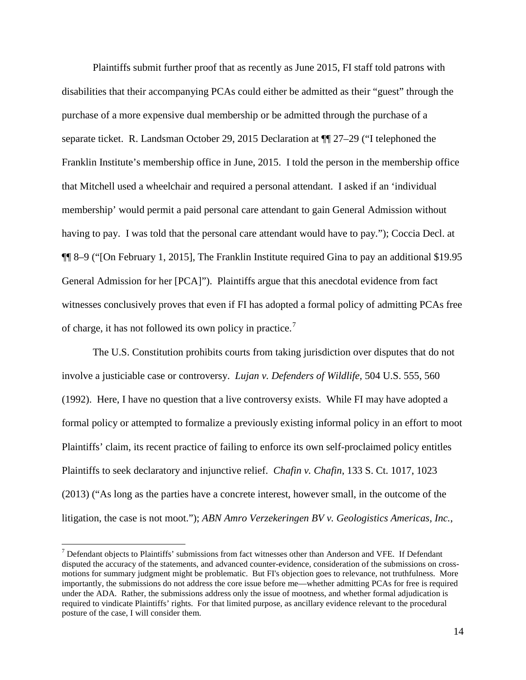Plaintiffs submit further proof that as recently as June 2015, FI staff told patrons with disabilities that their accompanying PCAs could either be admitted as their "guest" through the purchase of a more expensive dual membership or be admitted through the purchase of a separate ticket. R. Landsman October 29, 2015 Declaration at ¶¶ 27–29 ("I telephoned the Franklin Institute's membership office in June, 2015. I told the person in the membership office that Mitchell used a wheelchair and required a personal attendant. I asked if an 'individual membership' would permit a paid personal care attendant to gain General Admission without having to pay. I was told that the personal care attendant would have to pay."); Coccia Decl. at ¶¶ 8–9 ("[On February 1, 2015], The Franklin Institute required Gina to pay an additional \$19.95 General Admission for her [PCA]"). Plaintiffs argue that this anecdotal evidence from fact witnesses conclusively proves that even if FI has adopted a formal policy of admitting PCAs free of charge, it has not followed its own policy in practice.<sup>[7](#page-13-0)</sup>

The U.S. Constitution prohibits courts from taking jurisdiction over disputes that do not involve a justiciable case or controversy. *Lujan v. Defenders of Wildlife,* 504 U.S. 555, 560 (1992). Here, I have no question that a live controversy exists. While FI may have adopted a formal policy or attempted to formalize a previously existing informal policy in an effort to moot Plaintiffs' claim, its recent practice of failing to enforce its own self-proclaimed policy entitles Plaintiffs to seek declaratory and injunctive relief. *Chafin v. Chafin*, 133 S. Ct. 1017, 1023 (2013) ("As long as the parties have a concrete interest, however small, in the outcome of the litigation, the case is not moot."); *ABN Amro Verzekeringen BV v. Geologistics Americas, Inc.*,

<span id="page-13-0"></span> $<sup>7</sup>$  Defendant objects to Plaintiffs' submissions from fact witnesses other than Anderson and VFE. If Defendant</sup> disputed the accuracy of the statements, and advanced counter-evidence, consideration of the submissions on crossmotions for summary judgment might be problematic. But FI's objection goes to relevance, not truthfulness. More importantly, the submissions do not address the core issue before me—whether admitting PCAs for free is required under the ADA. Rather, the submissions address only the issue of mootness, and whether formal adjudication is required to vindicate Plaintiffs' rights. For that limited purpose, as ancillary evidence relevant to the procedural posture of the case, I will consider them.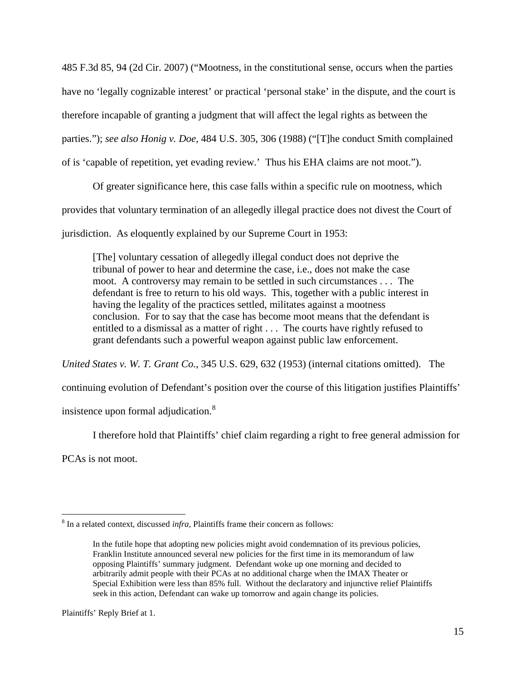485 F.3d 85, 94 (2d Cir. 2007) ("Mootness, in the constitutional sense, occurs when the parties have no 'legally cognizable interest' or practical 'personal stake' in the dispute, and the court is therefore incapable of granting a judgment that will affect the legal rights as between the parties."); *see also Honig v. Doe*, 484 U.S. 305, 306 (1988) ("[T]he conduct Smith complained of is 'capable of repetition, yet evading review.' Thus his EHA claims are not moot.").

Of greater significance here, this case falls within a specific rule on mootness, which provides that voluntary termination of an allegedly illegal practice does not divest the Court of jurisdiction. As eloquently explained by our Supreme Court in 1953:

[The] voluntary cessation of allegedly illegal conduct does not deprive the tribunal of power to hear and determine the case, i.e., does not make the case moot. A controversy may remain to be settled in such circumstances . . . The defendant is free to return to his old ways. This, together with a public interest in having the legality of the practices settled, militates against a mootness conclusion. For to say that the case has become moot means that the defendant is entitled to a dismissal as a matter of right . . . The courts have rightly refused to grant defendants such a powerful weapon against public law enforcement.

*United States v. W. T. Grant Co.*, 345 U.S. 629, 632 (1953) (internal citations omitted). The

continuing evolution of Defendant's position over the course of this litigation justifies Plaintiffs'

insistence upon formal adjudication.<sup>[8](#page-14-0)</sup>

I therefore hold that Plaintiffs' chief claim regarding a right to free general admission for

PCAs is not moot.

<span id="page-14-0"></span> <sup>8</sup> In a related context, discussed *infra*, Plaintiffs frame their concern as follows:

In the futile hope that adopting new policies might avoid condemnation of its previous policies, Franklin Institute announced several new policies for the first time in its memorandum of law opposing Plaintiffs' summary judgment. Defendant woke up one morning and decided to arbitrarily admit people with their PCAs at no additional charge when the IMAX Theater or Special Exhibition were less than 85% full. Without the declaratory and injunctive relief Plaintiffs seek in this action, Defendant can wake up tomorrow and again change its policies.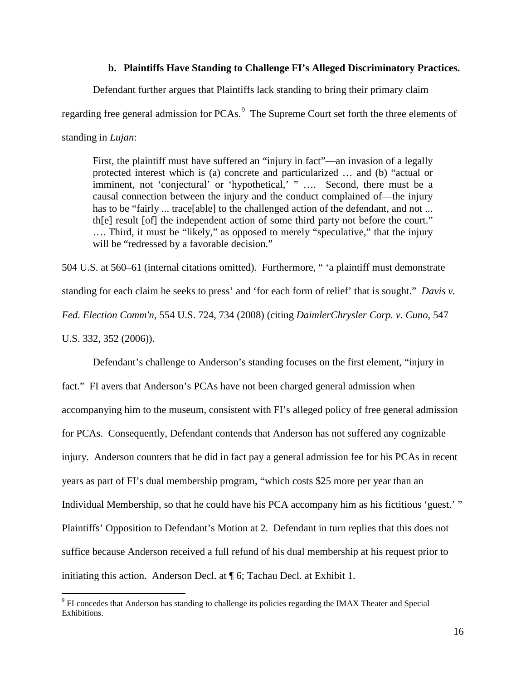# **b. Plaintiffs Have Standing to Challenge FI's Alleged Discriminatory Practices.**

Defendant further argues that Plaintiffs lack standing to bring their primary claim

regarding free general admission for PCAs.<sup>[9](#page-15-0)</sup> The Supreme Court set forth the three elements of

standing in *Lujan*:

First, the plaintiff must have suffered an "injury in fact"—an invasion of a legally protected interest which is (a) concrete and particularized … and (b) "actual or imminent, not 'conjectural' or 'hypothetical,' " .... Second, there must be a causal connection between the injury and the conduct complained of—the injury has to be "fairly ... trace[able] to the challenged action of the defendant, and not ... th[e] result [of] the independent action of some third party not before the court." …. Third, it must be "likely," as opposed to merely "speculative," that the injury will be "redressed by a favorable decision."

504 U.S. at 560–61 (internal citations omitted). Furthermore, " 'a plaintiff must demonstrate standing for each claim he seeks to press' and 'for each form of relief' that is sought." *Davis v. Fed. Election Comm'n*, 554 U.S. 724, 734 (2008) (citing *DaimlerChrysler Corp. v. Cuno,* 547 U.S. 332, 352 (2006)).

Defendant's challenge to Anderson's standing focuses on the first element, "injury in fact." FI avers that Anderson's PCAs have not been charged general admission when accompanying him to the museum, consistent with FI's alleged policy of free general admission for PCAs. Consequently, Defendant contends that Anderson has not suffered any cognizable injury. Anderson counters that he did in fact pay a general admission fee for his PCAs in recent years as part of FI's dual membership program, "which costs \$25 more per year than an Individual Membership, so that he could have his PCA accompany him as his fictitious 'guest.' " Plaintiffs' Opposition to Defendant's Motion at 2. Defendant in turn replies that this does not suffice because Anderson received a full refund of his dual membership at his request prior to initiating this action. Anderson Decl. at ¶ 6; Tachau Decl. at Exhibit 1.

<span id="page-15-0"></span> <sup>9</sup> FI concedes that Anderson has standing to challenge its policies regarding the IMAX Theater and Special Exhibitions.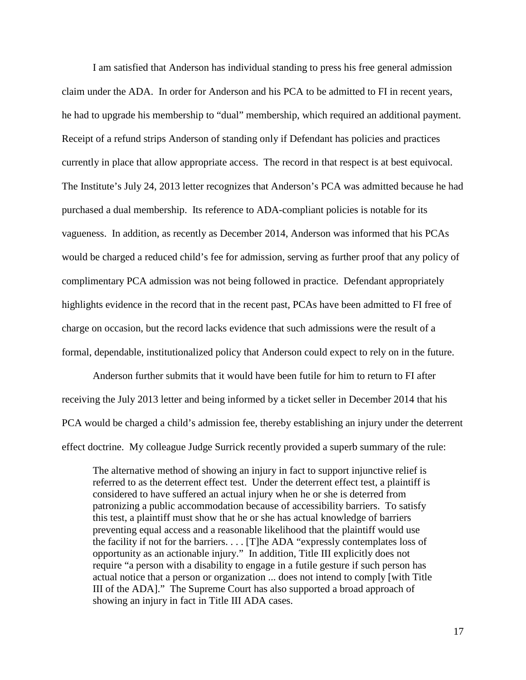I am satisfied that Anderson has individual standing to press his free general admission claim under the ADA. In order for Anderson and his PCA to be admitted to FI in recent years, he had to upgrade his membership to "dual" membership, which required an additional payment. Receipt of a refund strips Anderson of standing only if Defendant has policies and practices currently in place that allow appropriate access. The record in that respect is at best equivocal. The Institute's July 24, 2013 letter recognizes that Anderson's PCA was admitted because he had purchased a dual membership. Its reference to ADA-compliant policies is notable for its vagueness. In addition, as recently as December 2014, Anderson was informed that his PCAs would be charged a reduced child's fee for admission, serving as further proof that any policy of complimentary PCA admission was not being followed in practice. Defendant appropriately highlights evidence in the record that in the recent past, PCAs have been admitted to FI free of charge on occasion, but the record lacks evidence that such admissions were the result of a formal, dependable, institutionalized policy that Anderson could expect to rely on in the future.

Anderson further submits that it would have been futile for him to return to FI after receiving the July 2013 letter and being informed by a ticket seller in December 2014 that his PCA would be charged a child's admission fee, thereby establishing an injury under the deterrent effect doctrine. My colleague Judge Surrick recently provided a superb summary of the rule:

The alternative method of showing an injury in fact to support injunctive relief is referred to as the deterrent effect test. Under the deterrent effect test, a plaintiff is considered to have suffered an actual injury when he or she is deterred from patronizing a public accommodation because of accessibility barriers. To satisfy this test, a plaintiff must show that he or she has actual knowledge of barriers preventing equal access and a reasonable likelihood that the plaintiff would use the facility if not for the barriers. . . . [T]he ADA "expressly contemplates loss of opportunity as an actionable injury." In addition, Title III explicitly does not require "a person with a disability to engage in a futile gesture if such person has actual notice that a person or organization ... does not intend to comply [with Title III of the ADA]." The Supreme Court has also supported a broad approach of showing an injury in fact in Title III ADA cases.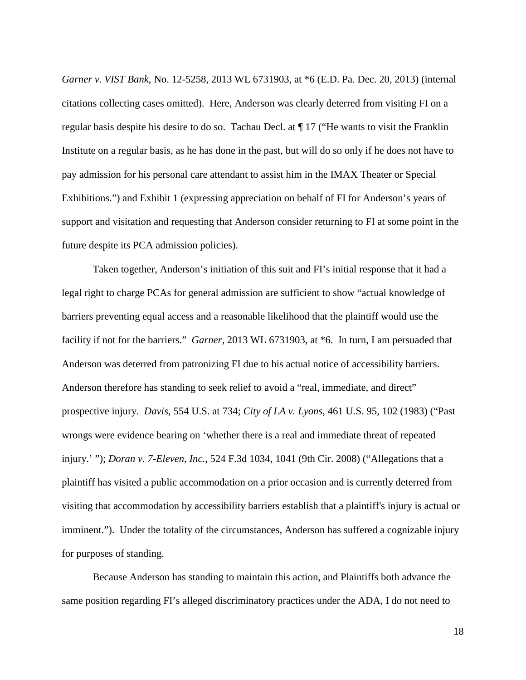*Garner v. VIST Bank*, No. 12-5258, 2013 WL 6731903, at \*6 (E.D. Pa. Dec. 20, 2013) (internal citations collecting cases omitted). Here, Anderson was clearly deterred from visiting FI on a regular basis despite his desire to do so. Tachau Decl. at ¶ 17 ("He wants to visit the Franklin Institute on a regular basis, as he has done in the past, but will do so only if he does not have to pay admission for his personal care attendant to assist him in the IMAX Theater or Special Exhibitions.") and Exhibit 1 (expressing appreciation on behalf of FI for Anderson's years of support and visitation and requesting that Anderson consider returning to FI at some point in the future despite its PCA admission policies).

Taken together, Anderson's initiation of this suit and FI's initial response that it had a legal right to charge PCAs for general admission are sufficient to show "actual knowledge of barriers preventing equal access and a reasonable likelihood that the plaintiff would use the facility if not for the barriers." *Garner*, 2013 WL 6731903, at \*6. In turn, I am persuaded that Anderson was deterred from patronizing FI due to his actual notice of accessibility barriers. Anderson therefore has standing to seek relief to avoid a "real, immediate, and direct" prospective injury. *Davis*, 554 U.S. at 734; *City of LA v. Lyons*, 461 U.S. 95, 102 (1983) ("Past wrongs were evidence bearing on 'whether there is a real and immediate threat of repeated injury.' "); *Doran v. 7-Eleven, Inc.*, 524 F.3d 1034, 1041 (9th Cir. 2008) ("Allegations that a plaintiff has visited a public accommodation on a prior occasion and is currently deterred from visiting that accommodation by accessibility barriers establish that a plaintiff's injury is actual or imminent."). Under the totality of the circumstances, Anderson has suffered a cognizable injury for purposes of standing.

Because Anderson has standing to maintain this action, and Plaintiffs both advance the same position regarding FI's alleged discriminatory practices under the ADA, I do not need to

18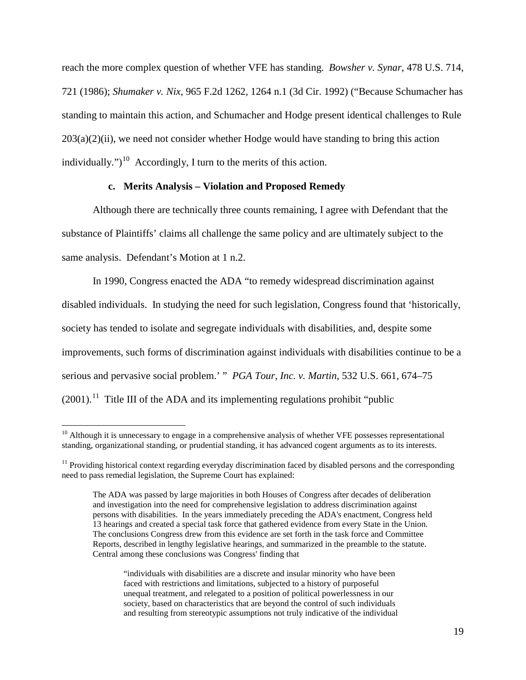reach the more complex question of whether VFE has standing. *Bowsher v. Synar*, 478 U.S. 714, 721 (1986); *Shumaker v. Nix*, 965 F.2d 1262, 1264 n.1 (3d Cir. 1992) ("Because Schumacher has standing to maintain this action, and Schumacher and Hodge present identical challenges to Rule  $203(a)(2)(ii)$ , we need not consider whether Hodge would have standing to bring this action individually.")<sup>10</sup> Accordingly, I turn to the merits of this action.

# **c. Merits Analysis – Violation and Proposed Remedy**

Although there are technically three counts remaining, I agree with Defendant that the substance of Plaintiffs' claims all challenge the same policy and are ultimately subject to the same analysis. Defendant's Motion at 1 n.2.

In 1990, Congress enacted the ADA "to remedy widespread discrimination against disabled individuals. In studying the need for such legislation, Congress found that 'historically, society has tended to isolate and segregate individuals with disabilities, and, despite some improvements, such forms of discrimination against individuals with disabilities continue to be a serious and pervasive social problem.' " *PGA Tour, Inc. v. Martin*, 532 U.S. 661, 674–75  $(2001).$ <sup>11</sup> Title III of the ADA and its implementing regulations prohibit "public"

"individuals with disabilities are a discrete and insular minority who have been faced with restrictions and limitations, subjected to a history of purposeful unequal treatment, and relegated to a position of political powerlessness in our society, based on characteristics that are beyond the control of such individuals and resulting from stereotypic assumptions not truly indicative of the individual

<span id="page-18-0"></span> $10$  Although it is unnecessary to engage in a comprehensive analysis of whether VFE possesses representational standing, organizational standing, or prudential standing, it has advanced cogent arguments as to its interests.

<span id="page-18-1"></span><sup>&</sup>lt;sup>11</sup> Providing historical context regarding everyday discrimination faced by disabled persons and the corresponding need to pass remedial legislation, the Supreme Court has explained:

The ADA was passed by large majorities in both Houses of Congress after decades of deliberation and investigation into the need for comprehensive legislation to address discrimination against persons with disabilities. In the years immediately preceding the ADA's enactment, Congress held 13 hearings and created a special task force that gathered evidence from every State in the Union. The conclusions Congress drew from this evidence are set forth in the task force and Committee Reports, described in lengthy legislative hearings, and summarized in the preamble to the statute. Central among these conclusions was Congress' finding that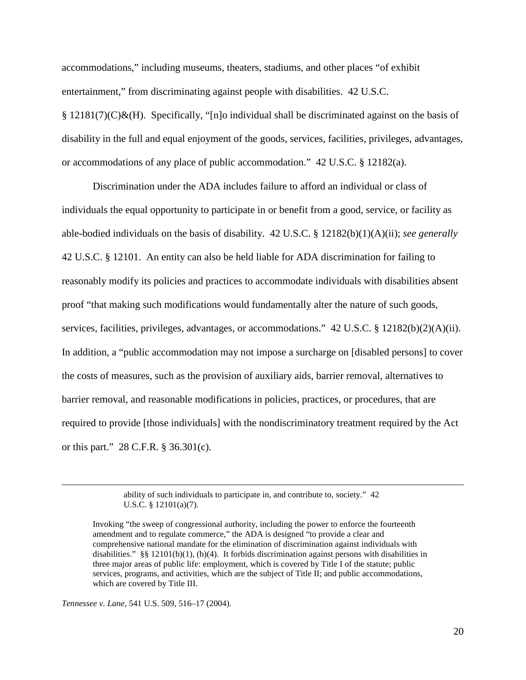accommodations," including museums, theaters, stadiums, and other places "of exhibit entertainment," from discriminating against people with disabilities. 42 U.S.C.  $\S 12181(7)(C)\&(H)$ . Specifically, "[n]o individual shall be discriminated against on the basis of disability in the full and equal enjoyment of the goods, services, facilities, privileges, advantages, or accommodations of any place of public accommodation." 42 U.S.C. § 12182(a).

Discrimination under the ADA includes failure to afford an individual or class of individuals the equal opportunity to participate in or benefit from a good, service, or facility as able-bodied individuals on the basis of disability. 42 U.S.C. § 12182(b)(1)(A)(ii); *see generally*  42 U.S.C. § 12101. An entity can also be held liable for ADA discrimination for failing to reasonably modify its policies and practices to accommodate individuals with disabilities absent proof "that making such modifications would fundamentally alter the nature of such goods, services, facilities, privileges, advantages, or accommodations." 42 U.S.C. § 12182(b)(2)(A)(ii). In addition, a "public accommodation may not impose a surcharge on [disabled persons] to cover the costs of measures, such as the provision of auxiliary aids, barrier removal, alternatives to barrier removal, and reasonable modifications in policies, practices, or procedures, that are required to provide [those individuals] with the nondiscriminatory treatment required by the Act or this part." 28 C.F.R. § 36.301(c).

> ability of such individuals to participate in, and contribute to, society." 42 U.S.C. § 12101(a)(7).

*Tennessee v. Lane*, 541 U.S. 509, 516–17 (2004).

Invoking "the sweep of congressional authority, including the power to enforce the fourteenth amendment and to regulate commerce," the ADA is designed "to provide a clear and comprehensive national mandate for the elimination of discrimination against individuals with disabilities." §§ 12101(b)(1), (b)(4). It forbids discrimination against persons with disabilities in three major areas of public life: employment, which is covered by Title I of the statute; public services, programs, and activities, which are the subject of Title II; and public accommodations, which are covered by Title III.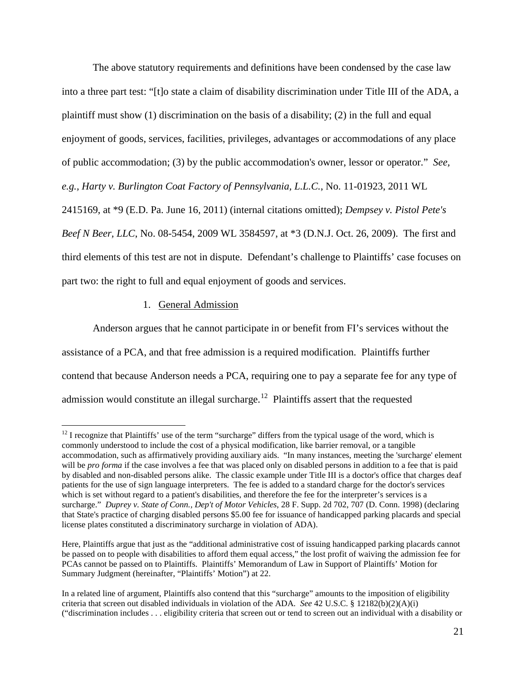The above statutory requirements and definitions have been condensed by the case law into a three part test: "[t]o state a claim of disability discrimination under Title III of the ADA, a plaintiff must show (1) discrimination on the basis of a disability; (2) in the full and equal enjoyment of goods, services, facilities, privileges, advantages or accommodations of any place of public accommodation; (3) by the public accommodation's owner, lessor or operator." *See, e.g., Harty v. Burlington Coat Factory of Pennsylvania, L.L.C.*, No. 11-01923, 2011 WL 2415169, at \*9 (E.D. Pa. June 16, 2011) (internal citations omitted); *Dempsey v. Pistol Pete's Beef N Beer, LLC*, No. 08-5454, 2009 WL 3584597, at \*3 (D.N.J. Oct. 26, 2009). The first and

third elements of this test are not in dispute. Defendant's challenge to Plaintiffs' case focuses on part two: the right to full and equal enjoyment of goods and services.

# 1. General Admission

Anderson argues that he cannot participate in or benefit from FI's services without the assistance of a PCA, and that free admission is a required modification. Plaintiffs further contend that because Anderson needs a PCA, requiring one to pay a separate fee for any type of admission would constitute an illegal surcharge.<sup>[12](#page-20-0)</sup> Plaintiffs assert that the requested

<span id="page-20-0"></span> $12$  I recognize that Plaintiffs' use of the term "surcharge" differs from the typical usage of the word, which is commonly understood to include the cost of a physical modification, like barrier removal, or a tangible accommodation, such as affirmatively providing auxiliary aids. "In many instances, meeting the 'surcharge' element will be *pro forma* if the case involves a fee that was placed only on disabled persons in addition to a fee that is paid by disabled and non-disabled persons alike. The classic example under Title III is a doctor's office that charges deaf patients for the use of sign language interpreters. The fee is added to a standard charge for the doctor's services which is set without regard to a patient's disabilities, and therefore the fee for the interpreter's services is a surcharge." *Duprey v. State of Conn., Dep't of Motor Vehicles*, 28 F. Supp. 2d 702, 707 (D. Conn. 1998) (declaring that State's practice of charging disabled persons \$5.00 fee for issuance of handicapped parking placards and special license plates constituted a discriminatory surcharge in violation of ADA).

Here, Plaintiffs argue that just as the "additional administrative cost of issuing handicapped parking placards cannot be passed on to people with disabilities to afford them equal access," the lost profit of waiving the admission fee for PCAs cannot be passed on to Plaintiffs. Plaintiffs' Memorandum of Law in Support of Plaintiffs' Motion for Summary Judgment (hereinafter, "Plaintiffs' Motion") at 22.

In a related line of argument, Plaintiffs also contend that this "surcharge" amounts to the imposition of eligibility criteria that screen out disabled individuals in violation of the ADA. *See* 42 U.S.C. § 12182(b)(2)(A)(i) ("discrimination includes . . . eligibility criteria that screen out or tend to screen out an individual with a disability or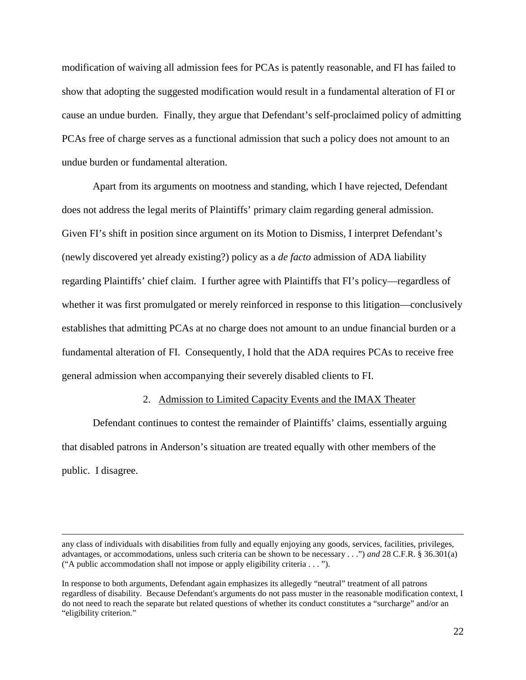modification of waiving all admission fees for PCAs is patently reasonable, and FI has failed to show that adopting the suggested modification would result in a fundamental alteration of FI or cause an undue burden. Finally, they argue that Defendant's self-proclaimed policy of admitting PCAs free of charge serves as a functional admission that such a policy does not amount to an undue burden or fundamental alteration.

Apart from its arguments on mootness and standing, which I have rejected, Defendant does not address the legal merits of Plaintiffs' primary claim regarding general admission. Given FI's shift in position since argument on its Motion to Dismiss, I interpret Defendant's (newly discovered yet already existing?) policy as a *de facto* admission of ADA liability regarding Plaintiffs' chief claim. I further agree with Plaintiffs that FI's policy—regardless of whether it was first promulgated or merely reinforced in response to this litigation—conclusively establishes that admitting PCAs at no charge does not amount to an undue financial burden or a fundamental alteration of FI. Consequently, I hold that the ADA requires PCAs to receive free general admission when accompanying their severely disabled clients to FI.

#### 2. Admission to Limited Capacity Events and the IMAX Theater

Defendant continues to contest the remainder of Plaintiffs' claims, essentially arguing that disabled patrons in Anderson's situation are treated equally with other members of the public. I disagree.

 $\overline{a}$ 

any class of individuals with disabilities from fully and equally enjoying any goods, services, facilities, privileges, advantages, or accommodations, unless such criteria can be shown to be necessary . . .") *and* 28 C.F.R. § 36.301(a) ("A public accommodation shall not impose or apply eligibility criteria . . . ").

In response to both arguments, Defendant again emphasizes its allegedly "neutral" treatment of all patrons regardless of disability. Because Defendant's arguments do not pass muster in the reasonable modification context, I do not need to reach the separate but related questions of whether its conduct constitutes a "surcharge" and/or an "eligibility criterion."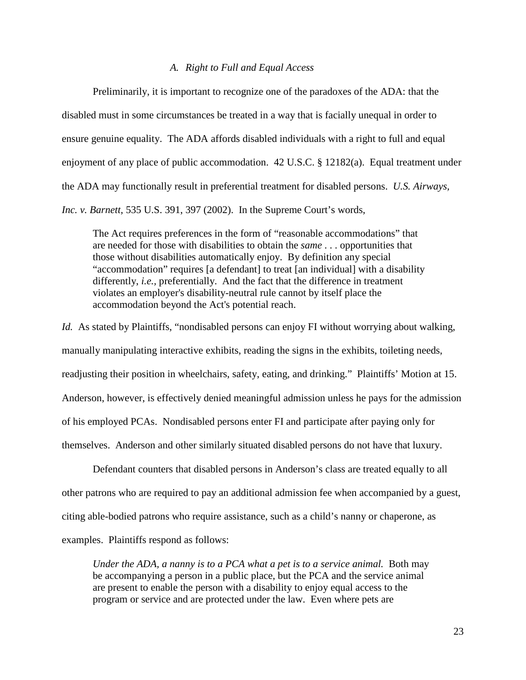# *A. Right to Full and Equal Access*

Preliminarily, it is important to recognize one of the paradoxes of the ADA: that the disabled must in some circumstances be treated in a way that is facially unequal in order to ensure genuine equality. The ADA affords disabled individuals with a right to full and equal enjoyment of any place of public accommodation. 42 U.S.C. § 12182(a). Equal treatment under the ADA may functionally result in preferential treatment for disabled persons. *U.S. Airways, Inc. v. Barnett*, 535 U.S. 391, 397 (2002). In the Supreme Court's words,

The Act requires preferences in the form of "reasonable accommodations" that are needed for those with disabilities to obtain the *same* . . . opportunities that those without disabilities automatically enjoy. By definition any special "accommodation" requires [a defendant] to treat [an individual] with a disability differently, *i.e.,* preferentially. And the fact that the difference in treatment violates an employer's disability-neutral rule cannot by itself place the accommodation beyond the Act's potential reach.

*Id.* As stated by Plaintiffs, "nondisabled persons can enjoy FI without worrying about walking, manually manipulating interactive exhibits, reading the signs in the exhibits, toileting needs, readjusting their position in wheelchairs, safety, eating, and drinking." Plaintiffs' Motion at 15. Anderson, however, is effectively denied meaningful admission unless he pays for the admission of his employed PCAs. Nondisabled persons enter FI and participate after paying only for themselves. Anderson and other similarly situated disabled persons do not have that luxury.

Defendant counters that disabled persons in Anderson's class are treated equally to all other patrons who are required to pay an additional admission fee when accompanied by a guest, citing able-bodied patrons who require assistance, such as a child's nanny or chaperone, as examples. Plaintiffs respond as follows:

*Under the ADA, a nanny is to a PCA what a pet is to a service animal.* Both may be accompanying a person in a public place, but the PCA and the service animal are present to enable the person with a disability to enjoy equal access to the program or service and are protected under the law. Even where pets are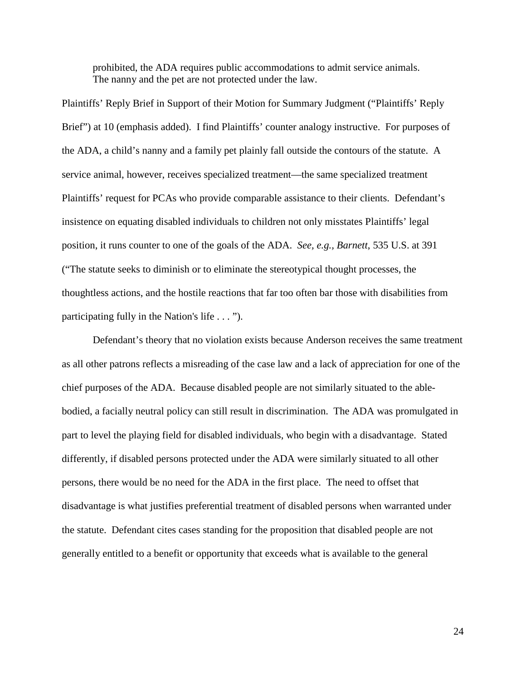prohibited, the ADA requires public accommodations to admit service animals. The nanny and the pet are not protected under the law.

Plaintiffs' Reply Brief in Support of their Motion for Summary Judgment ("Plaintiffs' Reply Brief") at 10 (emphasis added). I find Plaintiffs' counter analogy instructive. For purposes of the ADA, a child's nanny and a family pet plainly fall outside the contours of the statute. A service animal, however, receives specialized treatment—the same specialized treatment Plaintiffs' request for PCAs who provide comparable assistance to their clients. Defendant's insistence on equating disabled individuals to children not only misstates Plaintiffs' legal position, it runs counter to one of the goals of the ADA. *See, e.g., Barnett*, 535 U.S. at 391 ("The statute seeks to diminish or to eliminate the stereotypical thought processes, the thoughtless actions, and the hostile reactions that far too often bar those with disabilities from participating fully in the Nation's life . . . ").

Defendant's theory that no violation exists because Anderson receives the same treatment as all other patrons reflects a misreading of the case law and a lack of appreciation for one of the chief purposes of the ADA. Because disabled people are not similarly situated to the ablebodied, a facially neutral policy can still result in discrimination. The ADA was promulgated in part to level the playing field for disabled individuals, who begin with a disadvantage. Stated differently, if disabled persons protected under the ADA were similarly situated to all other persons, there would be no need for the ADA in the first place. The need to offset that disadvantage is what justifies preferential treatment of disabled persons when warranted under the statute. Defendant cites cases standing for the proposition that disabled people are not generally entitled to a benefit or opportunity that exceeds what is available to the general

24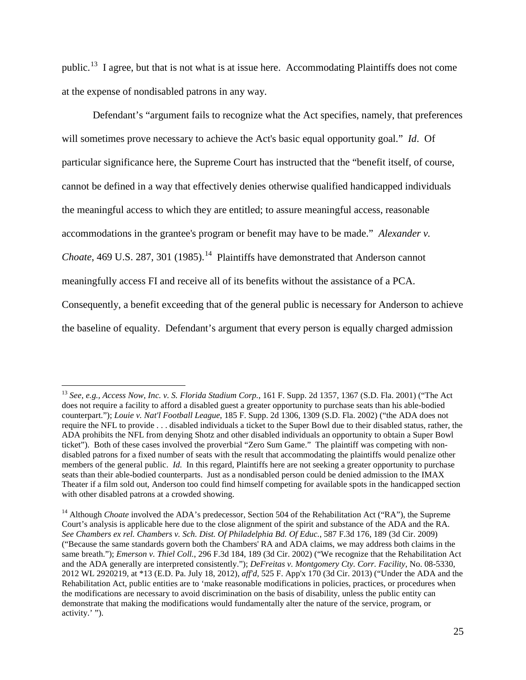public.[13](#page-24-0) I agree, but that is not what is at issue here. Accommodating Plaintiffs does not come at the expense of nondisabled patrons in any way.

Defendant's "argument fails to recognize what the Act specifies, namely, that preferences will sometimes prove necessary to achieve the Act's basic equal opportunity goal." *Id*. Of particular significance here, the Supreme Court has instructed that the "benefit itself, of course, cannot be defined in a way that effectively denies otherwise qualified handicapped individuals the meaningful access to which they are entitled; to assure meaningful access, reasonable accommodations in the grantee's program or benefit may have to be made." *Alexander v. Choate*, 469 U.S. 287, 301 (1985).<sup>14</sup> Plaintiffs have demonstrated that Anderson cannot meaningfully access FI and receive all of its benefits without the assistance of a PCA. Consequently, a benefit exceeding that of the general public is necessary for Anderson to achieve the baseline of equality. Defendant's argument that every person is equally charged admission

<span id="page-24-0"></span> <sup>13</sup> *See, e.g., Access Now, Inc. v. S. Florida Stadium Corp.*, 161 F. Supp. 2d 1357, 1367 (S.D. Fla. 2001) ("The Act does not require a facility to afford a disabled guest a greater opportunity to purchase seats than his able-bodied counterpart."); *Louie v. Nat'l Football League*, 185 F. Supp. 2d 1306, 1309 (S.D. Fla. 2002) ("the ADA does not require the NFL to provide . . . disabled individuals a ticket to the Super Bowl due to their disabled status, rather, the ADA prohibits the NFL from denying Shotz and other disabled individuals an opportunity to obtain a Super Bowl ticket"). Both of these cases involved the proverbial "Zero Sum Game." The plaintiff was competing with nondisabled patrons for a fixed number of seats with the result that accommodating the plaintiffs would penalize other members of the general public. *Id.* In this regard, Plaintiffs here are not seeking a greater opportunity to purchase seats than their able-bodied counterparts. Just as a nondisabled person could be denied admission to the IMAX Theater if a film sold out, Anderson too could find himself competing for available spots in the handicapped section with other disabled patrons at a crowded showing.

<span id="page-24-1"></span><sup>&</sup>lt;sup>14</sup> Although *Choate* involved the ADA's predecessor, Section 504 of the Rehabilitation Act ("RA"), the Supreme Court's analysis is applicable here due to the close alignment of the spirit and substance of the ADA and the RA. *See Chambers ex rel. Chambers v. Sch. Dist. Of Philadelphia Bd. Of Educ.*, 587 F.3d 176, 189 (3d Cir. 2009) ("Because the same standards govern both the Chambers' RA and ADA claims, we may address both claims in the same breath."); *Emerson v. Thiel Coll.*, 296 F.3d 184, 189 (3d Cir. 2002) ("We recognize that the Rehabilitation Act and the ADA generally are interpreted consistently."); *DeFreitas v. Montgomery Cty. Corr. Facility*, No. 08-5330, 2012 WL 2920219, at \*13 (E.D. Pa. July 18, 2012), *aff'd,* 525 F. App'x 170 (3d Cir. 2013) ("Under the ADA and the Rehabilitation Act, public entities are to 'make reasonable modifications in policies, practices, or procedures when the modifications are necessary to avoid discrimination on the basis of disability, unless the public entity can demonstrate that making the modifications would fundamentally alter the nature of the service, program, or activity.' ").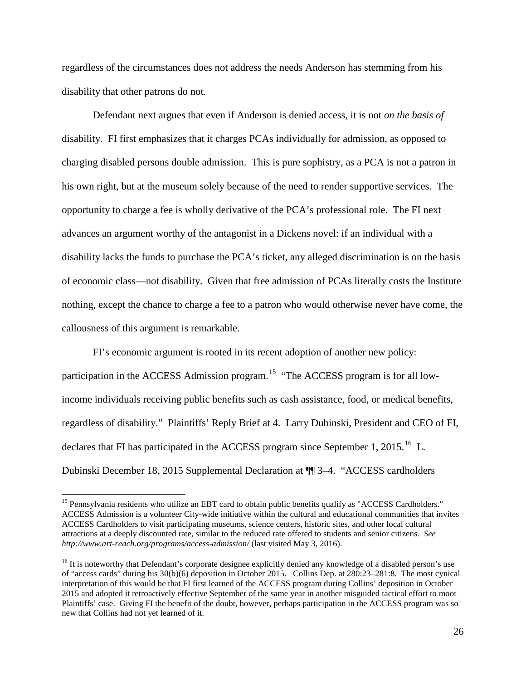regardless of the circumstances does not address the needs Anderson has stemming from his disability that other patrons do not.

Defendant next argues that even if Anderson is denied access, it is not *on the basis of*  disability. FI first emphasizes that it charges PCAs individually for admission, as opposed to charging disabled persons double admission. This is pure sophistry, as a PCA is not a patron in his own right, but at the museum solely because of the need to render supportive services. The opportunity to charge a fee is wholly derivative of the PCA's professional role. The FI next advances an argument worthy of the antagonist in a Dickens novel: if an individual with a disability lacks the funds to purchase the PCA's ticket, any alleged discrimination is on the basis of economic class—not disability. Given that free admission of PCAs literally costs the Institute nothing, except the chance to charge a fee to a patron who would otherwise never have come, the callousness of this argument is remarkable.

FI's economic argument is rooted in its recent adoption of another new policy: participation in the ACCESS Admission program.<sup>[15](#page-25-0)</sup> "The ACCESS program is for all lowincome individuals receiving public benefits such as cash assistance, food, or medical benefits, regardless of disability." Plaintiffs' Reply Brief at 4. Larry Dubinski, President and CEO of FI, declares that FI has participated in the ACCESS program since September 1, 2015.<sup>[16](#page-25-1)</sup> L. Dubinski December 18, 2015 Supplemental Declaration at ¶¶ 3–4. "ACCESS cardholders

<span id="page-25-0"></span><sup>&</sup>lt;sup>15</sup> Pennsylvania residents who utilize an EBT card to obtain public benefits qualify as "ACCESS Cardholders." ACCESS Admission is a volunteer City-wide initiative within the cultural and educational communities that invites ACCESS Cardholders to visit participating museums, science centers, historic sites, and other local cultural attractions at a deeply discounted rate, similar to the reduced rate offered to students and senior citizens. *See http://www.art-reach.org/programs/access-admission/* (last visited May 3, 2016).

<span id="page-25-1"></span><sup>&</sup>lt;sup>16</sup> It is noteworthy that Defendant's corporate designee explicitly denied any knowledge of a disabled person's use of "access cards" during his 30(b)(6) deposition in October 2015. Collins Dep. at 280:23–281:8. The most cynical interpretation of this would be that FI first learned of the ACCESS program during Collins' deposition in October 2015 and adopted it retroactively effective September of the same year in another misguided tactical effort to moot Plaintiffs' case. Giving FI the benefit of the doubt, however, perhaps participation in the ACCESS program was so new that Collins had not yet learned of it.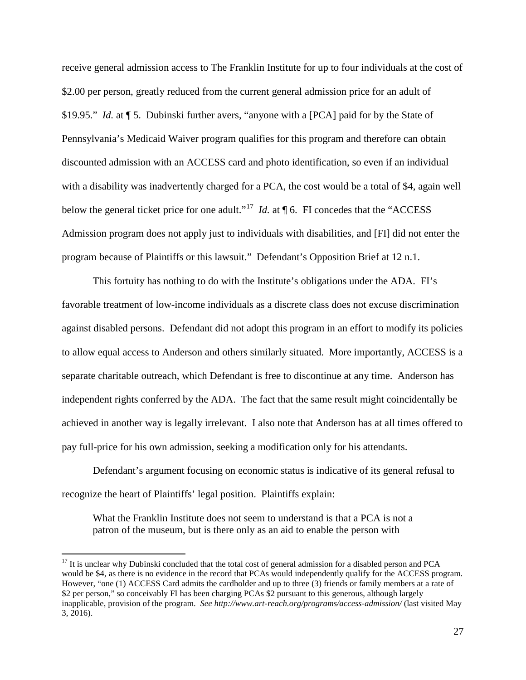receive general admission access to The Franklin Institute for up to four individuals at the cost of \$2.00 per person, greatly reduced from the current general admission price for an adult of \$19.95." *Id.* at ¶ 5. Dubinski further avers, "anyone with a [PCA] paid for by the State of Pennsylvania's Medicaid Waiver program qualifies for this program and therefore can obtain discounted admission with an ACCESS card and photo identification, so even if an individual with a disability was inadvertently charged for a PCA, the cost would be a total of \$4, again well below the general ticket price for one adult."<sup>[17](#page-26-0)</sup> *Id.* at  $\P$  6. FI concedes that the "ACCESS" Admission program does not apply just to individuals with disabilities, and [FI] did not enter the program because of Plaintiffs or this lawsuit." Defendant's Opposition Brief at 12 n.1.

This fortuity has nothing to do with the Institute's obligations under the ADA. FI's favorable treatment of low-income individuals as a discrete class does not excuse discrimination against disabled persons. Defendant did not adopt this program in an effort to modify its policies to allow equal access to Anderson and others similarly situated. More importantly, ACCESS is a separate charitable outreach, which Defendant is free to discontinue at any time. Anderson has independent rights conferred by the ADA. The fact that the same result might coincidentally be achieved in another way is legally irrelevant. I also note that Anderson has at all times offered to pay full-price for his own admission, seeking a modification only for his attendants.

Defendant's argument focusing on economic status is indicative of its general refusal to recognize the heart of Plaintiffs' legal position. Plaintiffs explain:

What the Franklin Institute does not seem to understand is that a PCA is not a patron of the museum, but is there only as an aid to enable the person with

<span id="page-26-0"></span> $17$  It is unclear why Dubinski concluded that the total cost of general admission for a disabled person and PCA would be \$4, as there is no evidence in the record that PCAs would independently qualify for the ACCESS program. However, "one (1) ACCESS Card admits the cardholder and up to three (3) friends or family members at a rate of \$2 per person," so conceivably FI has been charging PCAs \$2 pursuant to this generous, although largely inapplicable, provision of the program. *See http://www.art-reach.org/programs/access-admission/* (last visited May 3, 2016).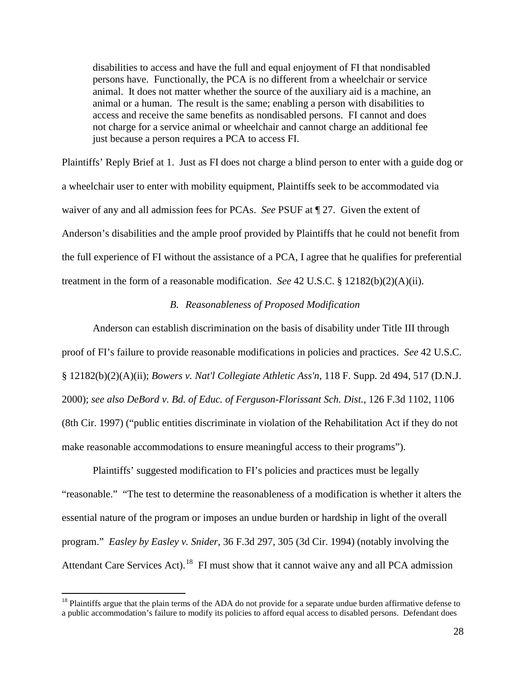disabilities to access and have the full and equal enjoyment of FI that nondisabled persons have. Functionally, the PCA is no different from a wheelchair or service animal. It does not matter whether the source of the auxiliary aid is a machine, an animal or a human. The result is the same; enabling a person with disabilities to access and receive the same benefits as nondisabled persons. FI cannot and does not charge for a service animal or wheelchair and cannot charge an additional fee just because a person requires a PCA to access FI.

Plaintiffs' Reply Brief at 1. Just as FI does not charge a blind person to enter with a guide dog or a wheelchair user to enter with mobility equipment, Plaintiffs seek to be accommodated via waiver of any and all admission fees for PCAs. *See* PSUF at ¶ 27. Given the extent of Anderson's disabilities and the ample proof provided by Plaintiffs that he could not benefit from the full experience of FI without the assistance of a PCA, I agree that he qualifies for preferential treatment in the form of a reasonable modification. *See* 42 U.S.C. § 12182(b)(2)(A)(ii).

# *B. Reasonableness of Proposed Modification*

Anderson can establish discrimination on the basis of disability under Title III through proof of FI's failure to provide reasonable modifications in policies and practices. *See* 42 U.S.C. § 12182(b)(2)(A)(ii); *Bowers v. Nat'l Collegiate Athletic Ass'n*, 118 F. Supp. 2d 494, 517 (D.N.J. 2000); *see also DeBord v. Bd. of Educ. of Ferguson-Florissant Sch. Dist.*, 126 F.3d 1102, 1106 (8th Cir. 1997) ("public entities discriminate in violation of the Rehabilitation Act if they do not make reasonable accommodations to ensure meaningful access to their programs").

Plaintiffs' suggested modification to FI's policies and practices must be legally "reasonable." "The test to determine the reasonableness of a modification is whether it alters the essential nature of the program or imposes an undue burden or hardship in light of the overall program." *Easley by Easley v. Snider*, 36 F.3d 297, 305 (3d Cir. 1994) (notably involving the Attendant Care Services Act).<sup>18</sup> FI must show that it cannot waive any and all PCA admission

<span id="page-27-0"></span> $<sup>18</sup>$  Plaintiffs argue that the plain terms of the ADA do not provide for a separate undue burden affirmative defense to</sup> a public accommodation's failure to modify its policies to afford equal access to disabled persons. Defendant does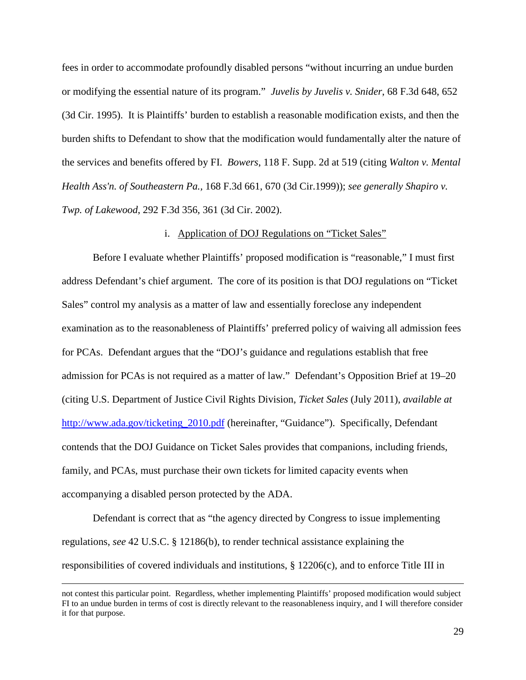fees in order to accommodate profoundly disabled persons "without incurring an undue burden or modifying the essential nature of its program." *Juvelis by Juvelis v. Snider*, 68 F.3d 648, 652 (3d Cir. 1995). It is Plaintiffs' burden to establish a reasonable modification exists, and then the burden shifts to Defendant to show that the modification would fundamentally alter the nature of the services and benefits offered by FI. *Bowers*, 118 F. Supp. 2d at 519 (citing *Walton v. Mental Health Ass'n. of Southeastern Pa.,* 168 F.3d 661, 670 (3d Cir.1999)); *see generally Shapiro v. Twp. of Lakewood*, 292 F.3d 356, 361 (3d Cir. 2002).

# i. Application of DOJ Regulations on "Ticket Sales"

Before I evaluate whether Plaintiffs' proposed modification is "reasonable," I must first address Defendant's chief argument. The core of its position is that DOJ regulations on "Ticket Sales" control my analysis as a matter of law and essentially foreclose any independent examination as to the reasonableness of Plaintiffs' preferred policy of waiving all admission fees for PCAs. Defendant argues that the "DOJ's guidance and regulations establish that free admission for PCAs is not required as a matter of law." Defendant's Opposition Brief at 19–20 (citing U.S. Department of Justice Civil Rights Division, *Ticket Sales* (July 2011), *available at* [http://www.ada.gov/ticketing\\_2010.pdf](http://www.ada.gov/ticketing_2010.pdf) (hereinafter, "Guidance"). Specifically, Defendant contends that the DOJ Guidance on Ticket Sales provides that companions, including friends, family, and PCAs, must purchase their own tickets for limited capacity events when accompanying a disabled person protected by the ADA.

Defendant is correct that as "the agency directed by Congress to issue implementing regulations, *see* 42 U.S.C. § 12186(b), to render technical assistance explaining the responsibilities of covered individuals and institutions,  $\S 12206(c)$ , and to enforce Title III in

not contest this particular point. Regardless, whether implementing Plaintiffs' proposed modification would subject FI to an undue burden in terms of cost is directly relevant to the reasonableness inquiry, and I will therefore consider it for that purpose.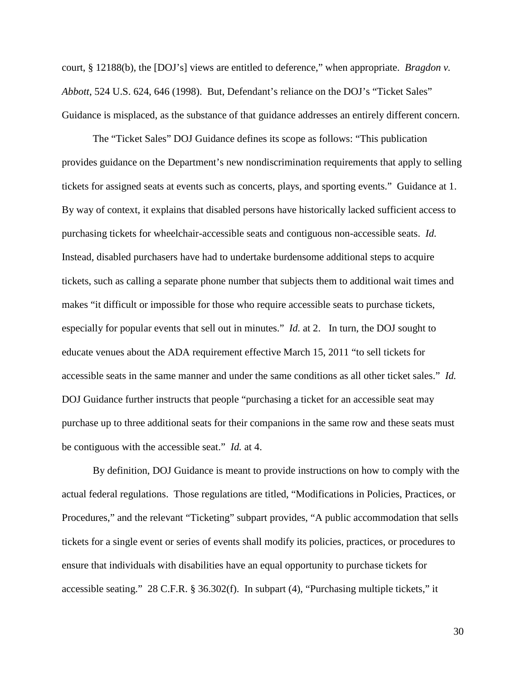court, § 12188(b), the [DOJ's] views are entitled to deference," when appropriate. *Bragdon v. Abbott*, 524 U.S. 624, 646 (1998). But, Defendant's reliance on the DOJ's "Ticket Sales" Guidance is misplaced, as the substance of that guidance addresses an entirely different concern.

The "Ticket Sales" DOJ Guidance defines its scope as follows: "This publication provides guidance on the Department's new nondiscrimination requirements that apply to selling tickets for assigned seats at events such as concerts, plays, and sporting events." Guidance at 1. By way of context, it explains that disabled persons have historically lacked sufficient access to purchasing tickets for wheelchair-accessible seats and contiguous non-accessible seats. *Id.*  Instead, disabled purchasers have had to undertake burdensome additional steps to acquire tickets, such as calling a separate phone number that subjects them to additional wait times and makes "it difficult or impossible for those who require accessible seats to purchase tickets, especially for popular events that sell out in minutes." *Id.* at 2. In turn, the DOJ sought to educate venues about the ADA requirement effective March 15, 2011 "to sell tickets for accessible seats in the same manner and under the same conditions as all other ticket sales." *Id.*  DOJ Guidance further instructs that people "purchasing a ticket for an accessible seat may purchase up to three additional seats for their companions in the same row and these seats must be contiguous with the accessible seat." *Id.* at 4.

By definition, DOJ Guidance is meant to provide instructions on how to comply with the actual federal regulations. Those regulations are titled, "Modifications in Policies, Practices, or Procedures," and the relevant "Ticketing" subpart provides, "A public accommodation that sells tickets for a single event or series of events shall modify its policies, practices, or procedures to ensure that individuals with disabilities have an equal opportunity to purchase tickets for accessible seating." 28 C.F.R. § 36.302(f). In subpart (4), "Purchasing multiple tickets," it

30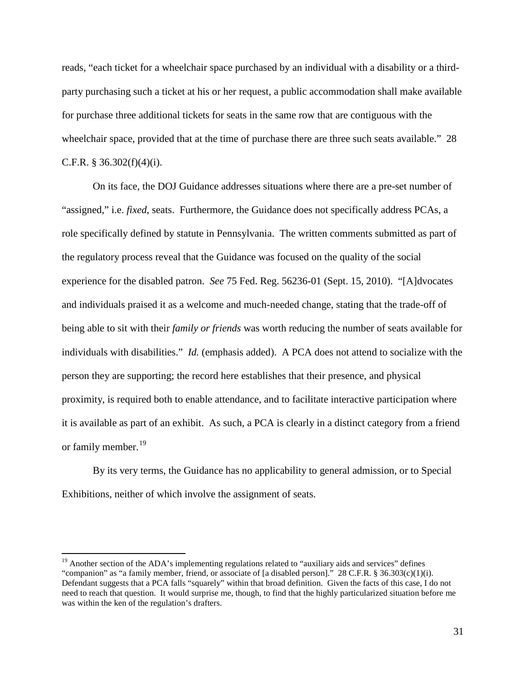reads, "each ticket for a wheelchair space purchased by an individual with a disability or a thirdparty purchasing such a ticket at his or her request, a public accommodation shall make available for purchase three additional tickets for seats in the same row that are contiguous with the wheelchair space, provided that at the time of purchase there are three such seats available." 28 C.F.R. § 36.302 $(f)(4)(i)$ .

On its face, the DOJ Guidance addresses situations where there are a pre-set number of "assigned," i.e. *fixed*, seats. Furthermore, the Guidance does not specifically address PCAs, a role specifically defined by statute in Pennsylvania. The written comments submitted as part of the regulatory process reveal that the Guidance was focused on the quality of the social experience for the disabled patron. *See* 75 Fed. Reg. 56236-01 (Sept. 15, 2010). "[A]dvocates and individuals praised it as a welcome and much-needed change, stating that the trade-off of being able to sit with their *family or friends* was worth reducing the number of seats available for individuals with disabilities." *Id.* (emphasis added). A PCA does not attend to socialize with the person they are supporting; the record here establishes that their presence, and physical proximity, is required both to enable attendance, and to facilitate interactive participation where it is available as part of an exhibit. As such, a PCA is clearly in a distinct category from a friend or family member. [19](#page-30-0)

By its very terms, the Guidance has no applicability to general admission, or to Special Exhibitions, neither of which involve the assignment of seats.

<span id="page-30-0"></span><sup>&</sup>lt;sup>19</sup> Another section of the ADA's implementing regulations related to "auxiliary aids and services" defines "companion" as "a family member, friend, or associate of [a disabled person]." 28 C.F.R. § 36.303(c)(1)(i). Defendant suggests that a PCA falls "squarely" within that broad definition. Given the facts of this case, I do not need to reach that question. It would surprise me, though, to find that the highly particularized situation before me was within the ken of the regulation's drafters.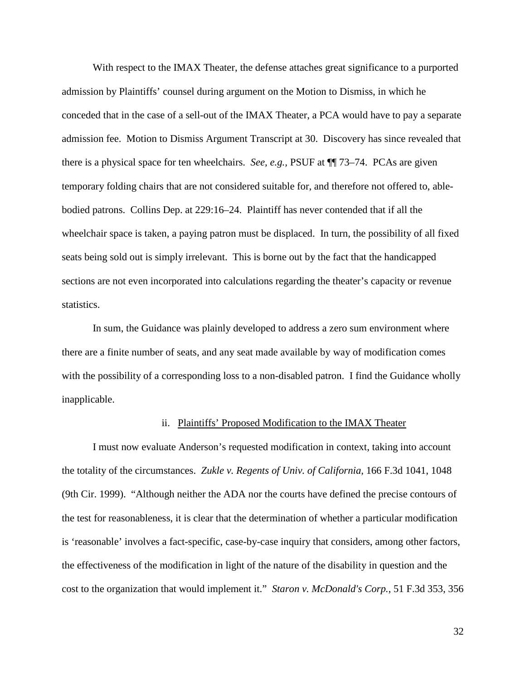With respect to the IMAX Theater, the defense attaches great significance to a purported admission by Plaintiffs' counsel during argument on the Motion to Dismiss, in which he conceded that in the case of a sell-out of the IMAX Theater, a PCA would have to pay a separate admission fee. Motion to Dismiss Argument Transcript at 30. Discovery has since revealed that there is a physical space for ten wheelchairs. *See, e.g.,* PSUF at ¶¶ 73–74. PCAs are given temporary folding chairs that are not considered suitable for, and therefore not offered to, ablebodied patrons. Collins Dep. at 229:16–24. Plaintiff has never contended that if all the wheelchair space is taken, a paying patron must be displaced. In turn, the possibility of all fixed seats being sold out is simply irrelevant. This is borne out by the fact that the handicapped sections are not even incorporated into calculations regarding the theater's capacity or revenue statistics.

In sum, the Guidance was plainly developed to address a zero sum environment where there are a finite number of seats, and any seat made available by way of modification comes with the possibility of a corresponding loss to a non-disabled patron. I find the Guidance wholly inapplicable.

#### ii. Plaintiffs' Proposed Modification to the IMAX Theater

I must now evaluate Anderson's requested modification in context, taking into account the totality of the circumstances. *Zukle v. Regents of Univ. of California*, 166 F.3d 1041, 1048 (9th Cir. 1999). "Although neither the ADA nor the courts have defined the precise contours of the test for reasonableness, it is clear that the determination of whether a particular modification is 'reasonable' involves a fact-specific, case-by-case inquiry that considers, among other factors, the effectiveness of the modification in light of the nature of the disability in question and the cost to the organization that would implement it." *Staron v. McDonald's Corp.*, 51 F.3d 353, 356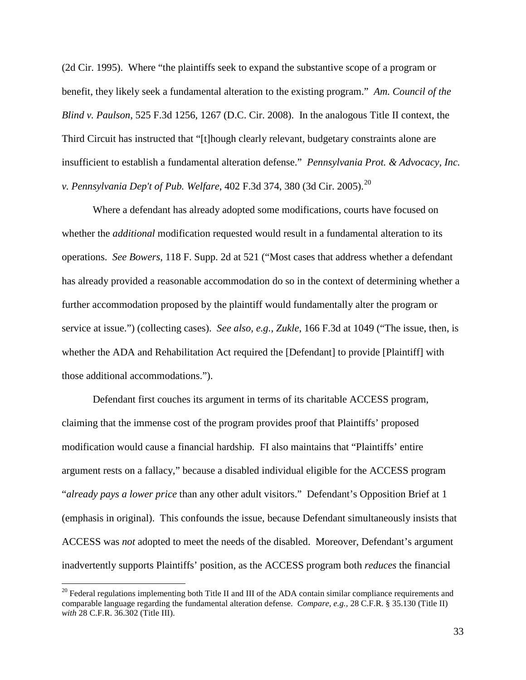(2d Cir. 1995). Where "the plaintiffs seek to expand the substantive scope of a program or benefit, they likely seek a fundamental alteration to the existing program." *Am. Council of the Blind v. Paulson*, 525 F.3d 1256, 1267 (D.C. Cir. 2008). In the analogous Title II context, the Third Circuit has instructed that "[t]hough clearly relevant, budgetary constraints alone are insufficient to establish a fundamental alteration defense." *Pennsylvania Prot. & Advocacy, Inc. v. Pennsylvania Dep't of Pub. Welfare*, 402 F.3d 374, 380 (3d Cir. 2005). [20](#page-32-0)

Where a defendant has already adopted some modifications, courts have focused on whether the *additional* modification requested would result in a fundamental alteration to its operations. *See Bowers*, 118 F. Supp. 2d at 521 ("Most cases that address whether a defendant has already provided a reasonable accommodation do so in the context of determining whether a further accommodation proposed by the plaintiff would fundamentally alter the program or service at issue.") (collecting cases). *See also, e.g., Zukle*, 166 F.3d at 1049 ("The issue, then, is whether the ADA and Rehabilitation Act required the [Defendant] to provide [Plaintiff] with those additional accommodations.").

Defendant first couches its argument in terms of its charitable ACCESS program, claiming that the immense cost of the program provides proof that Plaintiffs' proposed modification would cause a financial hardship. FI also maintains that "Plaintiffs' entire argument rests on a fallacy," because a disabled individual eligible for the ACCESS program "*already pays a lower price* than any other adult visitors." Defendant's Opposition Brief at 1 (emphasis in original). This confounds the issue, because Defendant simultaneously insists that ACCESS was *not* adopted to meet the needs of the disabled. Moreover, Defendant's argument inadvertently supports Plaintiffs' position, as the ACCESS program both *reduces* the financial

<span id="page-32-0"></span><sup>&</sup>lt;sup>20</sup> Federal regulations implementing both Title II and III of the ADA contain similar compliance requirements and comparable language regarding the fundamental alteration defense. *Compare, e.g.,* 28 C.F.R. § 35.130 (Title II) *with* 28 C.F.R. 36.302 (Title III).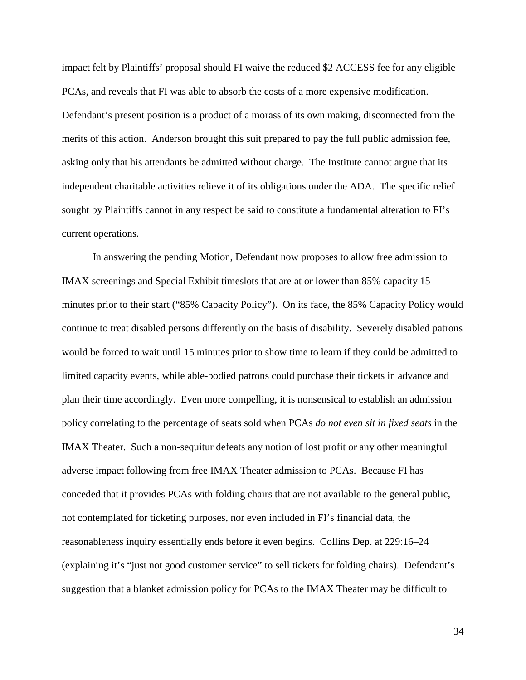impact felt by Plaintiffs' proposal should FI waive the reduced \$2 ACCESS fee for any eligible PCAs, and reveals that FI was able to absorb the costs of a more expensive modification. Defendant's present position is a product of a morass of its own making, disconnected from the merits of this action. Anderson brought this suit prepared to pay the full public admission fee, asking only that his attendants be admitted without charge. The Institute cannot argue that its independent charitable activities relieve it of its obligations under the ADA. The specific relief sought by Plaintiffs cannot in any respect be said to constitute a fundamental alteration to FI's current operations.

In answering the pending Motion, Defendant now proposes to allow free admission to IMAX screenings and Special Exhibit timeslots that are at or lower than 85% capacity 15 minutes prior to their start ("85% Capacity Policy"). On its face, the 85% Capacity Policy would continue to treat disabled persons differently on the basis of disability. Severely disabled patrons would be forced to wait until 15 minutes prior to show time to learn if they could be admitted to limited capacity events, while able-bodied patrons could purchase their tickets in advance and plan their time accordingly. Even more compelling, it is nonsensical to establish an admission policy correlating to the percentage of seats sold when PCAs *do not even sit in fixed seats* in the IMAX Theater. Such a non-sequitur defeats any notion of lost profit or any other meaningful adverse impact following from free IMAX Theater admission to PCAs. Because FI has conceded that it provides PCAs with folding chairs that are not available to the general public, not contemplated for ticketing purposes, nor even included in FI's financial data, the reasonableness inquiry essentially ends before it even begins. Collins Dep. at 229:16–24 (explaining it's "just not good customer service" to sell tickets for folding chairs). Defendant's suggestion that a blanket admission policy for PCAs to the IMAX Theater may be difficult to

34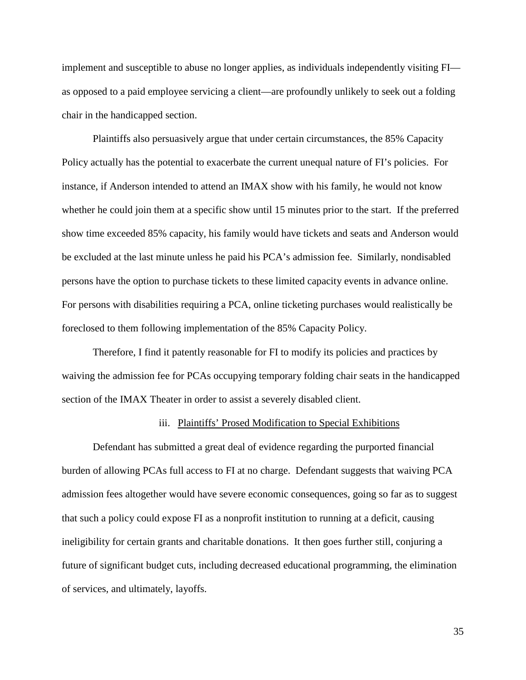implement and susceptible to abuse no longer applies, as individuals independently visiting FI as opposed to a paid employee servicing a client—are profoundly unlikely to seek out a folding chair in the handicapped section.

Plaintiffs also persuasively argue that under certain circumstances, the 85% Capacity Policy actually has the potential to exacerbate the current unequal nature of FI's policies. For instance, if Anderson intended to attend an IMAX show with his family, he would not know whether he could join them at a specific show until 15 minutes prior to the start. If the preferred show time exceeded 85% capacity, his family would have tickets and seats and Anderson would be excluded at the last minute unless he paid his PCA's admission fee. Similarly, nondisabled persons have the option to purchase tickets to these limited capacity events in advance online. For persons with disabilities requiring a PCA, online ticketing purchases would realistically be foreclosed to them following implementation of the 85% Capacity Policy.

Therefore, I find it patently reasonable for FI to modify its policies and practices by waiving the admission fee for PCAs occupying temporary folding chair seats in the handicapped section of the IMAX Theater in order to assist a severely disabled client.

#### iii. Plaintiffs' Prosed Modification to Special Exhibitions

Defendant has submitted a great deal of evidence regarding the purported financial burden of allowing PCAs full access to FI at no charge. Defendant suggests that waiving PCA admission fees altogether would have severe economic consequences, going so far as to suggest that such a policy could expose FI as a nonprofit institution to running at a deficit, causing ineligibility for certain grants and charitable donations. It then goes further still, conjuring a future of significant budget cuts, including decreased educational programming, the elimination of services, and ultimately, layoffs.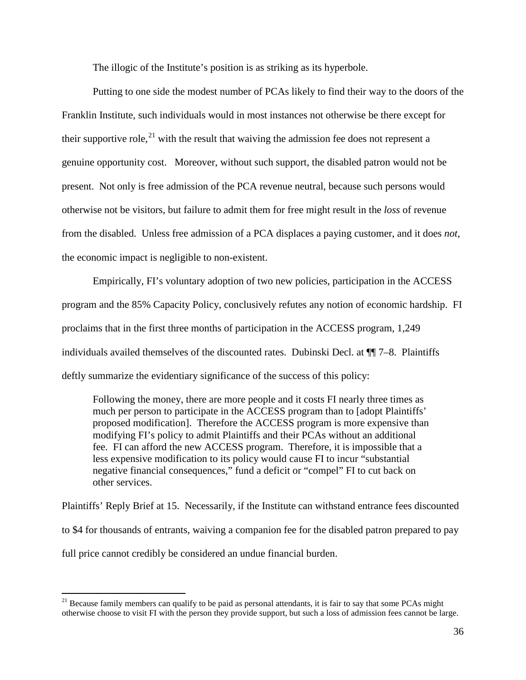The illogic of the Institute's position is as striking as its hyperbole.

Putting to one side the modest number of PCAs likely to find their way to the doors of the Franklin Institute, such individuals would in most instances not otherwise be there except for their supportive role,  $2^{1}$  with the result that waiving the admission fee does not represent a genuine opportunity cost. Moreover, without such support, the disabled patron would not be present. Not only is free admission of the PCA revenue neutral, because such persons would otherwise not be visitors, but failure to admit them for free might result in the *loss* of revenue from the disabled. Unless free admission of a PCA displaces a paying customer, and it does *not*, the economic impact is negligible to non-existent.

Empirically, FI's voluntary adoption of two new policies, participation in the ACCESS program and the 85% Capacity Policy, conclusively refutes any notion of economic hardship. FI proclaims that in the first three months of participation in the ACCESS program, 1,249 individuals availed themselves of the discounted rates. Dubinski Decl. at ¶¶ 7–8. Plaintiffs deftly summarize the evidentiary significance of the success of this policy:

Following the money, there are more people and it costs FI nearly three times as much per person to participate in the ACCESS program than to [adopt Plaintiffs' proposed modification]. Therefore the ACCESS program is more expensive than modifying FI's policy to admit Plaintiffs and their PCAs without an additional fee. FI can afford the new ACCESS program. Therefore, it is impossible that a less expensive modification to its policy would cause FI to incur "substantial negative financial consequences," fund a deficit or "compel" FI to cut back on other services.

Plaintiffs' Reply Brief at 15. Necessarily, if the Institute can withstand entrance fees discounted to \$4 for thousands of entrants, waiving a companion fee for the disabled patron prepared to pay full price cannot credibly be considered an undue financial burden.

<span id="page-35-0"></span> $21$  Because family members can qualify to be paid as personal attendants, it is fair to say that some PCAs might otherwise choose to visit FI with the person they provide support, but such a loss of admission fees cannot be large.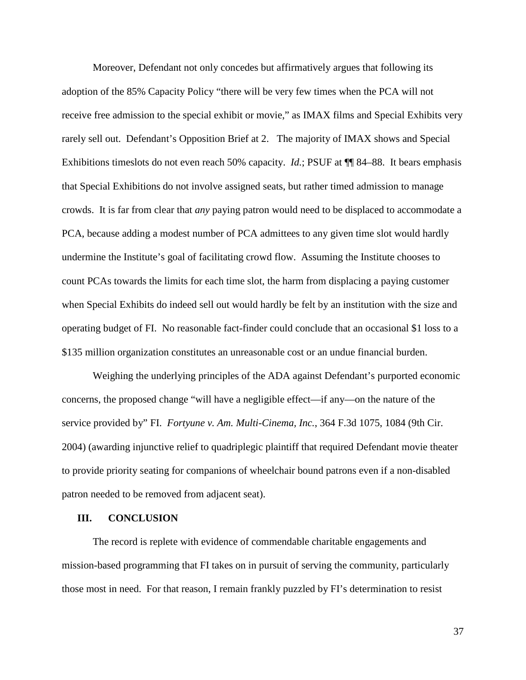Moreover, Defendant not only concedes but affirmatively argues that following its adoption of the 85% Capacity Policy "there will be very few times when the PCA will not receive free admission to the special exhibit or movie," as IMAX films and Special Exhibits very rarely sell out. Defendant's Opposition Brief at 2. The majority of IMAX shows and Special Exhibitions timeslots do not even reach 50% capacity. *Id.*; PSUF at ¶¶ 84–88. It bears emphasis that Special Exhibitions do not involve assigned seats, but rather timed admission to manage crowds. It is far from clear that *any* paying patron would need to be displaced to accommodate a PCA, because adding a modest number of PCA admittees to any given time slot would hardly undermine the Institute's goal of facilitating crowd flow. Assuming the Institute chooses to count PCAs towards the limits for each time slot, the harm from displacing a paying customer when Special Exhibits do indeed sell out would hardly be felt by an institution with the size and operating budget of FI. No reasonable fact-finder could conclude that an occasional \$1 loss to a \$135 million organization constitutes an unreasonable cost or an undue financial burden.

Weighing the underlying principles of the ADA against Defendant's purported economic concerns, the proposed change "will have a negligible effect—if any—on the nature of the service provided by" FI. *Fortyune v. Am. Multi-Cinema, Inc.*, 364 F.3d 1075, 1084 (9th Cir. 2004) (awarding injunctive relief to quadriplegic plaintiff that required Defendant movie theater to provide priority seating for companions of wheelchair bound patrons even if a non-disabled patron needed to be removed from adjacent seat).

#### **III. CONCLUSION**

The record is replete with evidence of commendable charitable engagements and mission-based programming that FI takes on in pursuit of serving the community, particularly those most in need. For that reason, I remain frankly puzzled by FI's determination to resist

37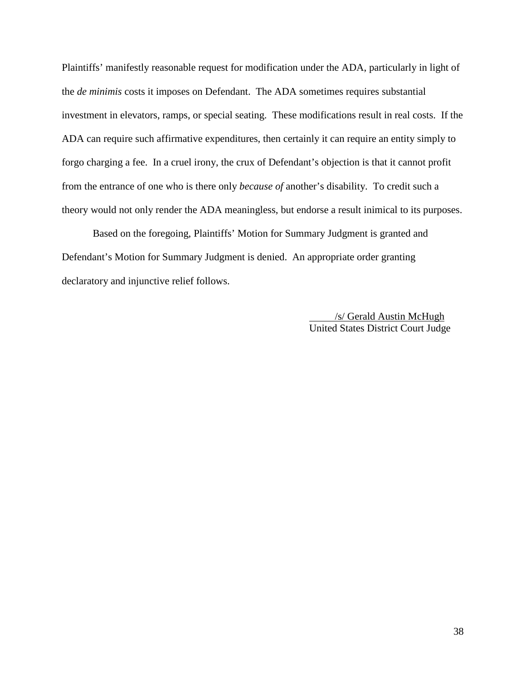Plaintiffs' manifestly reasonable request for modification under the ADA, particularly in light of the *de minimis* costs it imposes on Defendant. The ADA sometimes requires substantial investment in elevators, ramps, or special seating. These modifications result in real costs. If the ADA can require such affirmative expenditures, then certainly it can require an entity simply to forgo charging a fee. In a cruel irony, the crux of Defendant's objection is that it cannot profit from the entrance of one who is there only *because of* another's disability. To credit such a theory would not only render the ADA meaningless, but endorse a result inimical to its purposes.

Based on the foregoing, Plaintiffs' Motion for Summary Judgment is granted and Defendant's Motion for Summary Judgment is denied. An appropriate order granting declaratory and injunctive relief follows.

> /s/ Gerald Austin McHugh United States District Court Judge